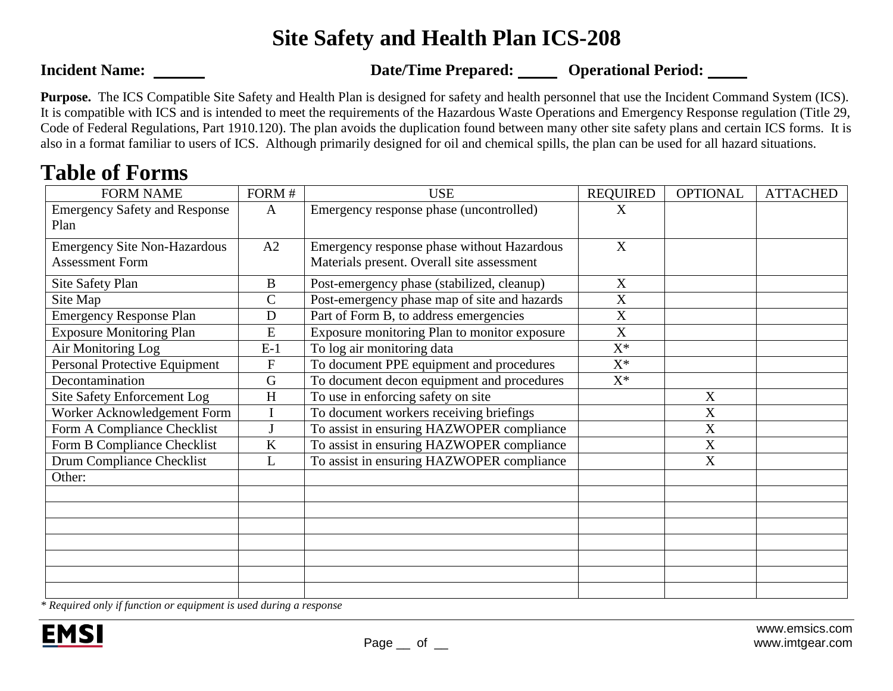# **Site Safety and Health Plan ICS-208**

**Incident Name: Date/Time Prepared: Operational Period:** 

**Purpose.** The ICS Compatible Site Safety and Health Plan is designed for safety and health personnel that use the Incident Command System (ICS). It is compatible with ICS and is intended to meet the requirements of the Hazardous Waste Operations and Emergency Response regulation (Title 29, Code of Federal Regulations, Part 1910.120). The plan avoids the duplication found between many other site safety plans and certain ICS forms. It is also in a format familiar to users of ICS. Although primarily designed for oil and chemical spills, the plan can be used for all hazard situations.

# **Table of Forms**

| <b>FORM NAME</b>                     | FORM #         | <b>USE</b>                                   | <b>REQUIRED</b>           | <b>OPTIONAL</b>           | <b>ATTACHED</b> |
|--------------------------------------|----------------|----------------------------------------------|---------------------------|---------------------------|-----------------|
| <b>Emergency Safety and Response</b> | A              | Emergency response phase (uncontrolled)      | X                         |                           |                 |
| Plan                                 |                |                                              |                           |                           |                 |
| <b>Emergency Site Non-Hazardous</b>  | A2             | Emergency response phase without Hazardous   | X                         |                           |                 |
| <b>Assessment Form</b>               |                | Materials present. Overall site assessment   |                           |                           |                 |
| Site Safety Plan                     | $\bf{B}$       | Post-emergency phase (stabilized, cleanup)   | X                         |                           |                 |
| Site Map                             | $\overline{C}$ | Post-emergency phase map of site and hazards | X                         |                           |                 |
| <b>Emergency Response Plan</b>       | $\mathbf D$    | Part of Form B, to address emergencies       | $\boldsymbol{X}$          |                           |                 |
| <b>Exposure Monitoring Plan</b>      | ${\bf E}$      | Exposure monitoring Plan to monitor exposure | $\boldsymbol{\mathrm{X}}$ |                           |                 |
| Air Monitoring Log                   | $E-1$          | To log air monitoring data                   | $X^*$                     |                           |                 |
| Personal Protective Equipment        | $\mathbf F$    | To document PPE equipment and procedures     | $X^*$                     |                           |                 |
| Decontamination                      | $\mathbf G$    | To document decon equipment and procedures   | $X^*$                     |                           |                 |
| Site Safety Enforcement Log          | H              | To use in enforcing safety on site           |                           | X                         |                 |
| Worker Acknowledgement Form          |                | To document workers receiving briefings      |                           | $\mathbf X$               |                 |
| Form A Compliance Checklist          |                | To assist in ensuring HAZWOPER compliance    |                           | X                         |                 |
| Form B Compliance Checklist          | K              | To assist in ensuring HAZWOPER compliance    |                           | $\boldsymbol{\mathrm{X}}$ |                 |
| Drum Compliance Checklist            | L              | To assist in ensuring HAZWOPER compliance    |                           | X                         |                 |
| Other:                               |                |                                              |                           |                           |                 |
|                                      |                |                                              |                           |                           |                 |
|                                      |                |                                              |                           |                           |                 |
|                                      |                |                                              |                           |                           |                 |
|                                      |                |                                              |                           |                           |                 |
|                                      |                |                                              |                           |                           |                 |
|                                      |                |                                              |                           |                           |                 |
|                                      |                |                                              |                           |                           |                 |

*\* Required only if function or equipment is used during a response*

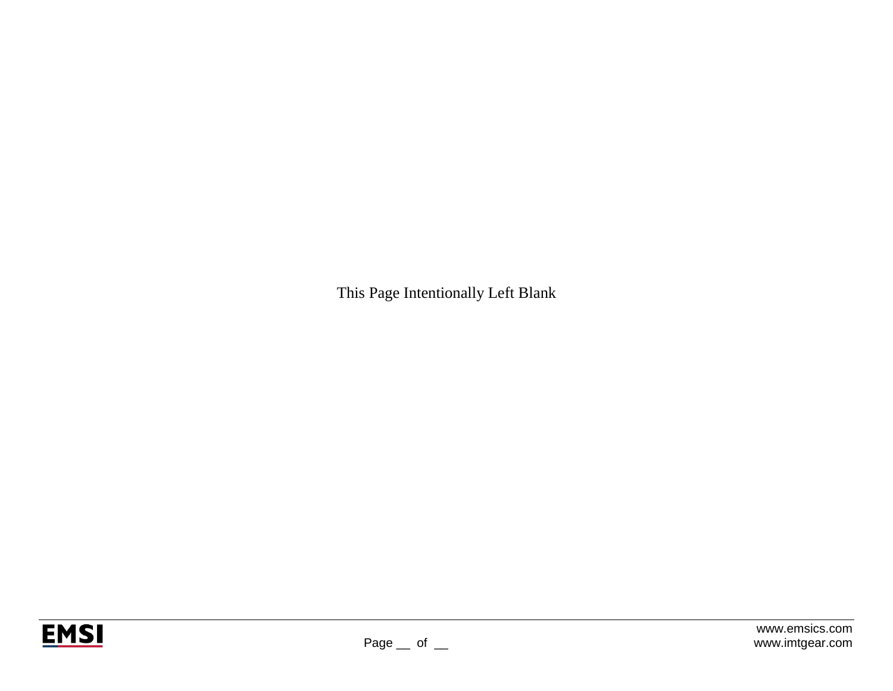This Page Intentionally Left Blank

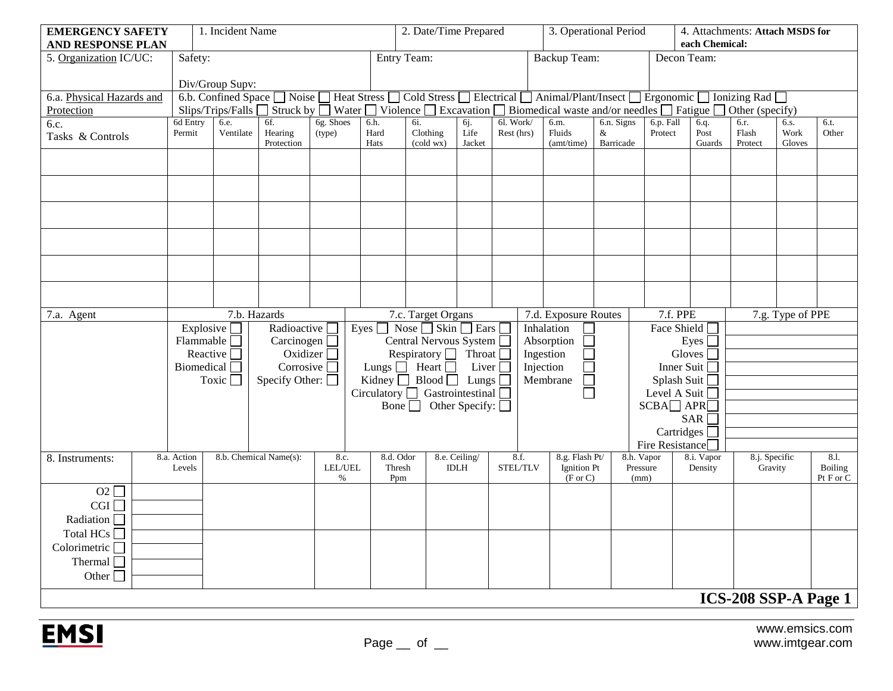| 1. Incident Name<br><b>EMERGENCY SAFETY</b><br><b>AND RESPONSE PLAN</b> |                       |                 |                                                                                                                                                                                                                         |                 | 2. Date/Time Prepared |                                                                                 |                              |                  | 3. Operational Period |                                                     |                        | 4. Attachments: Attach MSDS for<br>each Chemical: |                              |                      |                  |                                 |
|-------------------------------------------------------------------------|-----------------------|-----------------|-------------------------------------------------------------------------------------------------------------------------------------------------------------------------------------------------------------------------|-----------------|-----------------------|---------------------------------------------------------------------------------|------------------------------|------------------|-----------------------|-----------------------------------------------------|------------------------|---------------------------------------------------|------------------------------|----------------------|------------------|---------------------------------|
| 5. Organization IC/UC:                                                  | Safety:               |                 |                                                                                                                                                                                                                         |                 |                       | Entry Team:                                                                     |                              |                  |                       | Backup Team:                                        |                        |                                                   | Decon Team:                  |                      |                  |                                 |
|                                                                         |                       | Div/Group Supv: |                                                                                                                                                                                                                         |                 |                       |                                                                                 |                              |                  |                       |                                                     |                        |                                                   |                              |                      |                  |                                 |
| 6.a. Physical Hazards and                                               |                       |                 | 6.b. Confined Space Noise Heat Stress Cold Stress Electrical Animal/Plant/Insect Ergonomic Inizing Rad<br>Slips/Trips/Falls Struck by Water Violence Excavation Biomedical waste and/or needles Fatigue Other (specify) |                 |                       |                                                                                 |                              |                  |                       |                                                     |                        |                                                   |                              |                      |                  |                                 |
| Protection<br>6.c.                                                      | 6d Entry              | 6.e.            | 6f.                                                                                                                                                                                                                     | 6g. Shoes       | 6.h.                  | 6i.                                                                             | 6j.                          | 6l. Work/        |                       | 6.m.                                                | 6.n. Signs             | 6.p. Fall                                         | 6.q.                         | 6.r.                 | 6.s.             | 6.t.                            |
| Tasks & Controls                                                        | Permit                | Ventilate       | Hearing<br>Protection                                                                                                                                                                                                   | (type)          | Hard<br>Hats          | Clothing<br>(cold wx)                                                           | Life<br>Jacket               | Rest (hrs)       |                       | Fluids<br>(amt/time)                                | &<br>Barricade         | Protect                                           | Post<br>Guards               | Flash<br>Protect     | Work<br>Gloves   | Other                           |
|                                                                         |                       |                 |                                                                                                                                                                                                                         |                 |                       |                                                                                 |                              |                  |                       |                                                     |                        |                                                   |                              |                      |                  |                                 |
|                                                                         |                       |                 |                                                                                                                                                                                                                         |                 |                       |                                                                                 |                              |                  |                       |                                                     |                        |                                                   |                              |                      |                  |                                 |
|                                                                         |                       |                 |                                                                                                                                                                                                                         |                 |                       |                                                                                 |                              |                  |                       |                                                     |                        |                                                   |                              |                      |                  |                                 |
|                                                                         |                       |                 |                                                                                                                                                                                                                         |                 |                       |                                                                                 |                              |                  |                       |                                                     |                        |                                                   |                              |                      |                  |                                 |
|                                                                         |                       |                 |                                                                                                                                                                                                                         |                 |                       |                                                                                 |                              |                  |                       |                                                     |                        |                                                   |                              |                      |                  |                                 |
|                                                                         |                       |                 |                                                                                                                                                                                                                         |                 |                       |                                                                                 |                              |                  |                       |                                                     |                        |                                                   |                              |                      |                  |                                 |
|                                                                         |                       |                 |                                                                                                                                                                                                                         |                 |                       |                                                                                 |                              |                  |                       |                                                     |                        |                                                   |                              |                      |                  |                                 |
|                                                                         |                       |                 |                                                                                                                                                                                                                         |                 |                       |                                                                                 |                              |                  |                       |                                                     |                        |                                                   |                              |                      |                  |                                 |
| 7.a. Agent                                                              |                       | 7.b. Hazards    |                                                                                                                                                                                                                         |                 |                       | 7.c. Target Organs                                                              |                              |                  |                       | 7.d. Exposure Routes                                |                        | 7.f. PPE                                          |                              |                      | 7.g. Type of PPE |                                 |
|                                                                         | Explosive $\Box$      |                 | Radioactive                                                                                                                                                                                                             |                 |                       | $Eyes \n\bigcap \n\text{Nose} \n\bigcap \n\text{Skin} \n\bigcap \n\text{Ears}$  |                              |                  |                       | Inhalation                                          |                        |                                                   | Face Shield                  |                      |                  |                                 |
|                                                                         | Flammable             | Reactive $\Box$ | Carcinogen $\square$<br>Oxidizer $\sqrt{\phantom{a}}$                                                                                                                                                                   |                 |                       | Central Nervous System<br>Respiratory $\Box$ Throat $\Box$                      |                              |                  |                       | $\overline{\phantom{a}}$<br>Absorption<br>Ingestion |                        |                                                   | Eyes<br>Gloves               |                      |                  |                                 |
|                                                                         | Biomedical $\Box$     |                 | Corrosive $\Box$                                                                                                                                                                                                        |                 |                       | Lungs $\Box$ Heart $\Box$                                                       | Liver $\Box$                 |                  |                       | Injection                                           |                        |                                                   | Inner Suit                   |                      |                  |                                 |
|                                                                         |                       | Toxic           | Specify Other: $\square$                                                                                                                                                                                                |                 |                       | Kidney $\Box$ Blood $\Box$ Lungs [                                              |                              |                  |                       | Membrane                                            |                        |                                                   | Splash Suit                  |                      |                  |                                 |
|                                                                         |                       |                 |                                                                                                                                                                                                                         |                 |                       | Circulatory $\Box$ Gastrointestinal $\Box$<br>Bone $\Box$ Other Specify: $\Box$ |                              |                  |                       |                                                     |                        | Level A Suit                                      | $SCBA \square$ APR $\square$ |                      |                  |                                 |
|                                                                         |                       |                 |                                                                                                                                                                                                                         |                 |                       |                                                                                 |                              |                  |                       |                                                     |                        |                                                   | SAR                          |                      |                  |                                 |
|                                                                         |                       |                 |                                                                                                                                                                                                                         |                 |                       |                                                                                 |                              |                  |                       |                                                     |                        | Fire Resistance                                   | Cartridges                   |                      |                  |                                 |
| 8. Instruments:                                                         | 8.a. Action<br>Levels |                 | 8.b. Chemical Name(s):                                                                                                                                                                                                  | 8.c.<br>LEL/UEL | 8.d. Odor<br>Thresh   |                                                                                 | 8.e. Ceiling/<br><b>IDLH</b> | 8.f.<br>STEL/TLV |                       | 8.g. Flash Pt/<br>Ignition Pt                       | 8.h. Vapor<br>Pressure |                                                   | 8.i. Vapor<br>Density        | 8.j. Specific        |                  | 8.1.<br>Boiling                 |
|                                                                         |                       |                 |                                                                                                                                                                                                                         | $\%$            | Ppm                   |                                                                                 |                              |                  |                       | $(F$ or $C)$                                        | (mm)                   |                                                   |                              | Gravity              |                  | Pt $\mathcal F$ or $\mathcal C$ |
| O2<br>CGI                                                               |                       |                 |                                                                                                                                                                                                                         |                 |                       |                                                                                 |                              |                  |                       |                                                     |                        |                                                   |                              |                      |                  |                                 |
| Radiation $\Box$                                                        |                       |                 |                                                                                                                                                                                                                         |                 |                       |                                                                                 |                              |                  |                       |                                                     |                        |                                                   |                              |                      |                  |                                 |
| Total HCs $\Box$                                                        |                       |                 |                                                                                                                                                                                                                         |                 |                       |                                                                                 |                              |                  |                       |                                                     |                        |                                                   |                              |                      |                  |                                 |
| Colorimetric $\Box$                                                     |                       |                 |                                                                                                                                                                                                                         |                 |                       |                                                                                 |                              |                  |                       |                                                     |                        |                                                   |                              |                      |                  |                                 |
| Thermal $\Box$<br>Other $\square$                                       |                       |                 |                                                                                                                                                                                                                         |                 |                       |                                                                                 |                              |                  |                       |                                                     |                        |                                                   |                              |                      |                  |                                 |
|                                                                         |                       |                 |                                                                                                                                                                                                                         |                 |                       |                                                                                 |                              |                  |                       |                                                     |                        |                                                   |                              | ICS-208 SSP-A Page 1 |                  |                                 |
|                                                                         |                       |                 |                                                                                                                                                                                                                         |                 |                       |                                                                                 |                              |                  |                       |                                                     |                        |                                                   |                              |                      |                  |                                 |

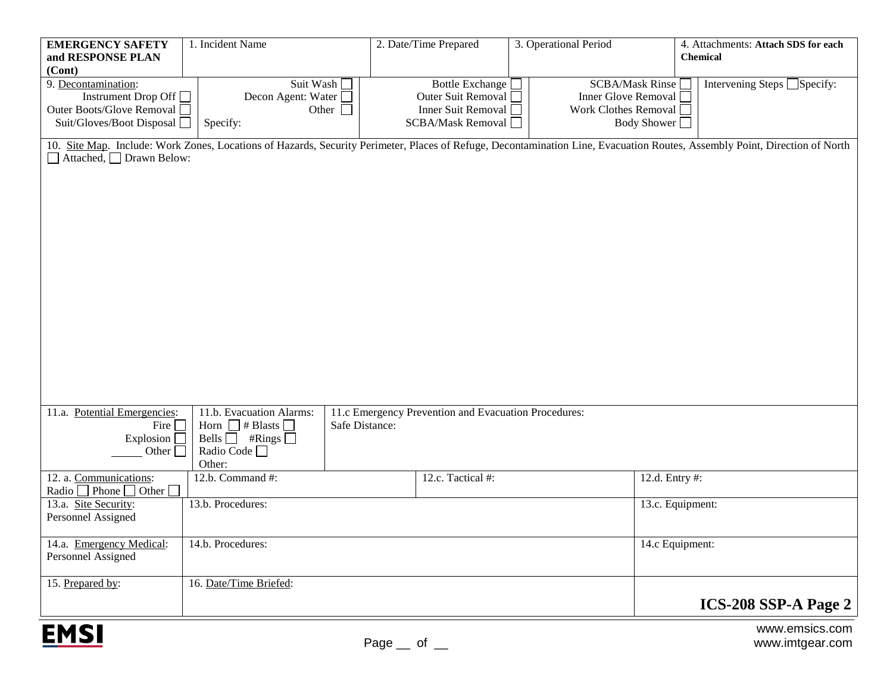| <b>EMERGENCY SAFETY</b>       | 1. Incident Name                                                                                                                                                           | 2. Date/Time Prepared                                | 3. Operational Period  | 4. Attachments: Attach SDS for each |
|-------------------------------|----------------------------------------------------------------------------------------------------------------------------------------------------------------------------|------------------------------------------------------|------------------------|-------------------------------------|
| and RESPONSE PLAN             |                                                                                                                                                                            |                                                      |                        | <b>Chemical</b>                     |
| (Cont)<br>9. Decontamination: | Suit Wash                                                                                                                                                                  | <b>Bottle Exchange</b>                               | <b>SCBA/Mask Rinse</b> | Intervening Steps □ Specify:        |
| Instrument Drop Off □         | Decon Agent: Water                                                                                                                                                         | Outer Suit Removal                                   | Inner Glove Removal    |                                     |
| Outer Boots/Glove Removal □   | Other                                                                                                                                                                      | Inner Suit Removal                                   | Work Clothes Removal   |                                     |
| Suit/Gloves/Boot Disposal     | Specify:                                                                                                                                                                   | SCBA/Mask Removal                                    | Body Shower [          |                                     |
|                               |                                                                                                                                                                            |                                                      |                        |                                     |
|                               | 10. Site Map. Include: Work Zones, Locations of Hazards, Security Perimeter, Places of Refuge, Decontamination Line, Evacuation Routes, Assembly Point, Direction of North |                                                      |                        |                                     |
| Attached, Drawn Below:        |                                                                                                                                                                            |                                                      |                        |                                     |
|                               |                                                                                                                                                                            |                                                      |                        |                                     |
|                               |                                                                                                                                                                            |                                                      |                        |                                     |
|                               |                                                                                                                                                                            |                                                      |                        |                                     |
|                               |                                                                                                                                                                            |                                                      |                        |                                     |
|                               |                                                                                                                                                                            |                                                      |                        |                                     |
|                               |                                                                                                                                                                            |                                                      |                        |                                     |
|                               |                                                                                                                                                                            |                                                      |                        |                                     |
|                               |                                                                                                                                                                            |                                                      |                        |                                     |
|                               |                                                                                                                                                                            |                                                      |                        |                                     |
|                               |                                                                                                                                                                            |                                                      |                        |                                     |
|                               |                                                                                                                                                                            |                                                      |                        |                                     |
|                               |                                                                                                                                                                            |                                                      |                        |                                     |
|                               |                                                                                                                                                                            |                                                      |                        |                                     |
|                               |                                                                                                                                                                            |                                                      |                        |                                     |
|                               |                                                                                                                                                                            |                                                      |                        |                                     |
|                               |                                                                                                                                                                            |                                                      |                        |                                     |
| 11.a. Potential Emergencies:  | 11.b. Evacuation Alarms:                                                                                                                                                   | 11.c Emergency Prevention and Evacuation Procedures: |                        |                                     |
| Fire [                        | Horn $\Box$ # Blasts $\Box$<br>Safe Distance:                                                                                                                              |                                                      |                        |                                     |
| Explosion [                   | Bells $\Box$ #Rings $\Box$                                                                                                                                                 |                                                      |                        |                                     |
| Other                         | Radio Code                                                                                                                                                                 |                                                      |                        |                                     |
|                               | Other:                                                                                                                                                                     |                                                      |                        |                                     |
| 12. a. Communications:        | 12.b. Command #:                                                                                                                                                           | 12.c. Tactical #:                                    | 12.d. Entry #:         |                                     |
| Radio Phone Other             |                                                                                                                                                                            |                                                      |                        |                                     |
| 13.a. Site Security:          | 13.b. Procedures:                                                                                                                                                          |                                                      |                        | 13.c. Equipment:                    |
| Personnel Assigned            |                                                                                                                                                                            |                                                      |                        |                                     |
| 14.a. Emergency Medical:      | 14.b. Procedures:                                                                                                                                                          |                                                      |                        | 14.c Equipment:                     |
| Personnel Assigned            |                                                                                                                                                                            |                                                      |                        |                                     |
|                               |                                                                                                                                                                            |                                                      |                        |                                     |
| 15. Prepared by:              | 16. Date/Time Briefed:                                                                                                                                                     |                                                      |                        |                                     |
|                               |                                                                                                                                                                            |                                                      |                        |                                     |
|                               |                                                                                                                                                                            |                                                      |                        | ICS-208 SSP-A Page 2                |
|                               |                                                                                                                                                                            |                                                      |                        |                                     |

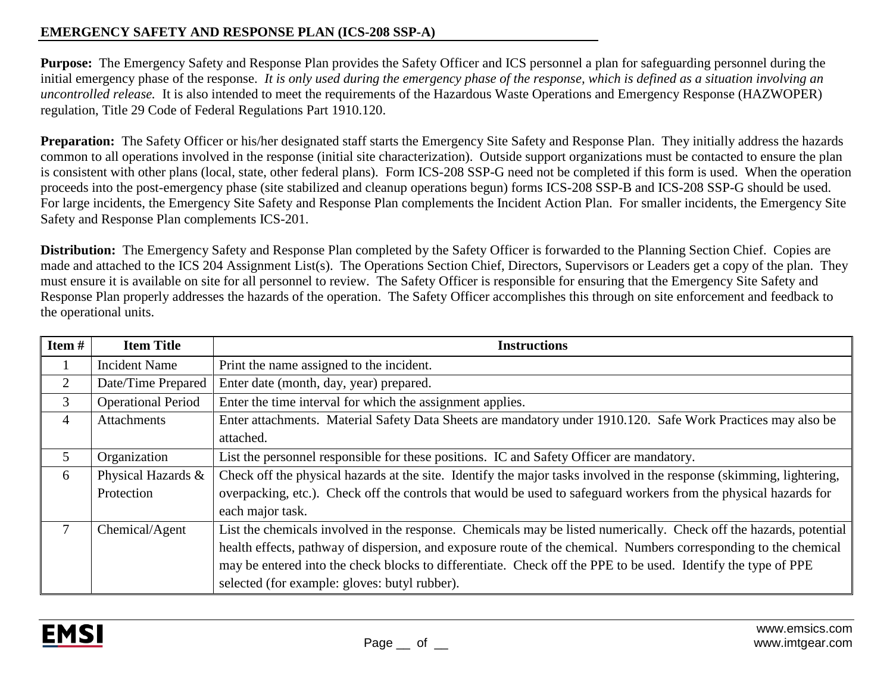#### **EMERGENCY SAFETY AND RESPONSE PLAN (ICS-208 SSP-A)**

**Purpose:** The Emergency Safety and Response Plan provides the Safety Officer and ICS personnel a plan for safeguarding personnel during the initial emergency phase of the response. *It is only used during the emergency phase of the response, which is defined as a situation involving an uncontrolled release.* It is also intended to meet the requirements of the Hazardous Waste Operations and Emergency Response (HAZWOPER) regulation, Title 29 Code of Federal Regulations Part 1910.120.

Preparation: The Safety Officer or his/her designated staff starts the Emergency Site Safety and Response Plan. They initially address the hazards common to all operations involved in the response (initial site characterization). Outside support organizations must be contacted to ensure the plan is consistent with other plans (local, state, other federal plans). Form ICS-208 SSP-G need not be completed if this form is used. When the operation proceeds into the post-emergency phase (site stabilized and cleanup operations begun) forms ICS-208 SSP-B and ICS-208 SSP-G should be used. For large incidents, the Emergency Site Safety and Response Plan complements the Incident Action Plan. For smaller incidents, the Emergency Site Safety and Response Plan complements ICS-201.

**Distribution:** The Emergency Safety and Response Plan completed by the Safety Officer is forwarded to the Planning Section Chief. Copies are made and attached to the ICS 204 Assignment List(s). The Operations Section Chief, Directors, Supervisors or Leaders get a copy of the plan. They must ensure it is available on site for all personnel to review. The Safety Officer is responsible for ensuring that the Emergency Site Safety and Response Plan properly addresses the hazards of the operation. The Safety Officer accomplishes this through on site enforcement and feedback to the operational units.

| Item#           | <b>Item Title</b>         | <b>Instructions</b>                                                                                                  |  |  |  |  |  |
|-----------------|---------------------------|----------------------------------------------------------------------------------------------------------------------|--|--|--|--|--|
|                 | <b>Incident Name</b>      | Print the name assigned to the incident.                                                                             |  |  |  |  |  |
| 2               | Date/Time Prepared        | Enter date (month, day, year) prepared.                                                                              |  |  |  |  |  |
| 3               | <b>Operational Period</b> | Enter the time interval for which the assignment applies.                                                            |  |  |  |  |  |
| $\overline{4}$  | Attachments               | Enter attachments. Material Safety Data Sheets are mandatory under 1910.120. Safe Work Practices may also be         |  |  |  |  |  |
|                 |                           | attached.                                                                                                            |  |  |  |  |  |
| $5^{\circ}$     | Organization              | List the personnel responsible for these positions. IC and Safety Officer are mandatory.                             |  |  |  |  |  |
| 6               | Physical Hazards &        | Check off the physical hazards at the site. Identify the major tasks involved in the response (skimming, lightering, |  |  |  |  |  |
|                 | Protection                | overpacking, etc.). Check off the controls that would be used to safeguard workers from the physical hazards for     |  |  |  |  |  |
|                 |                           | each major task.                                                                                                     |  |  |  |  |  |
| $7\phantom{.0}$ | Chemical/Agent            | List the chemicals involved in the response. Chemicals may be listed numerically. Check off the hazards, potential   |  |  |  |  |  |
|                 |                           | health effects, pathway of dispersion, and exposure route of the chemical. Numbers corresponding to the chemical     |  |  |  |  |  |
|                 |                           | may be entered into the check blocks to differentiate. Check off the PPE to be used. Identify the type of PPE        |  |  |  |  |  |
|                 |                           | selected (for example: gloves: butyl rubber).                                                                        |  |  |  |  |  |

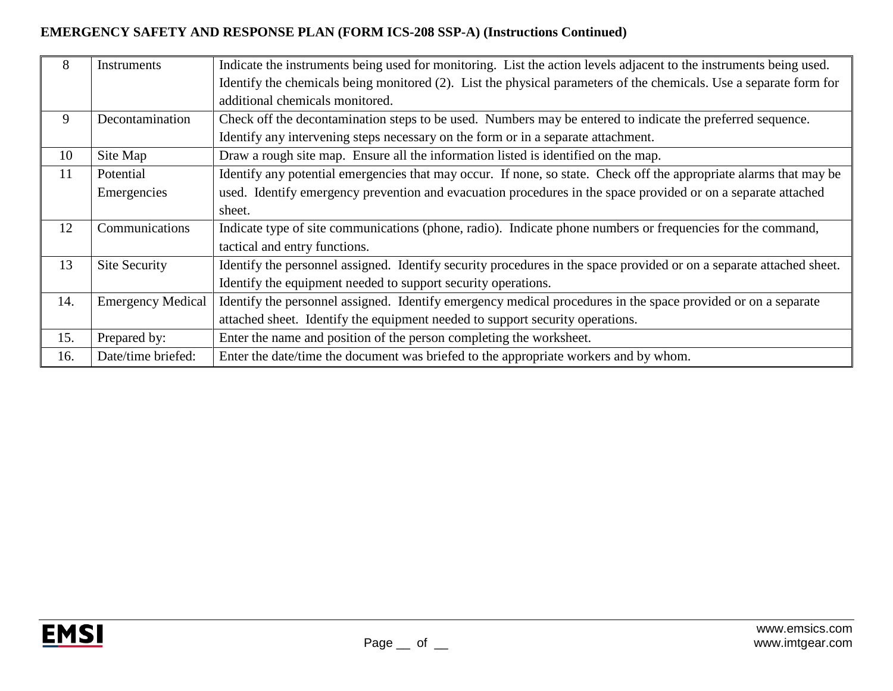## **EMERGENCY SAFETY AND RESPONSE PLAN (FORM ICS-208 SSP-A) (Instructions Continued)**

| 8   | Instruments              | Indicate the instruments being used for monitoring. List the action levels adjacent to the instruments being used.   |
|-----|--------------------------|----------------------------------------------------------------------------------------------------------------------|
|     |                          | Identify the chemicals being monitored (2). List the physical parameters of the chemicals. Use a separate form for   |
|     |                          | additional chemicals monitored.                                                                                      |
| 9   | Decontamination          | Check off the decontamination steps to be used. Numbers may be entered to indicate the preferred sequence.           |
|     |                          | Identify any intervening steps necessary on the form or in a separate attachment.                                    |
| 10  | Site Map                 | Draw a rough site map. Ensure all the information listed is identified on the map.                                   |
| 11  | Potential                | Identify any potential emergencies that may occur. If none, so state. Check off the appropriate alarms that may be   |
|     | Emergencies              | used. Identify emergency prevention and evacuation procedures in the space provided or on a separate attached        |
|     |                          | sheet.                                                                                                               |
| 12  | Communications           | Indicate type of site communications (phone, radio). Indicate phone numbers or frequencies for the command,          |
|     |                          | tactical and entry functions.                                                                                        |
| 13  | <b>Site Security</b>     | Identify the personnel assigned. Identify security procedures in the space provided or on a separate attached sheet. |
|     |                          | Identify the equipment needed to support security operations.                                                        |
| 14. | <b>Emergency Medical</b> | Identify the personnel assigned. Identify emergency medical procedures in the space provided or on a separate        |
|     |                          | attached sheet. Identify the equipment needed to support security operations.                                        |
| 15. | Prepared by:             | Enter the name and position of the person completing the worksheet.                                                  |
| 16. | Date/time briefed:       | Enter the date/time the document was briefed to the appropriate workers and by whom.                                 |

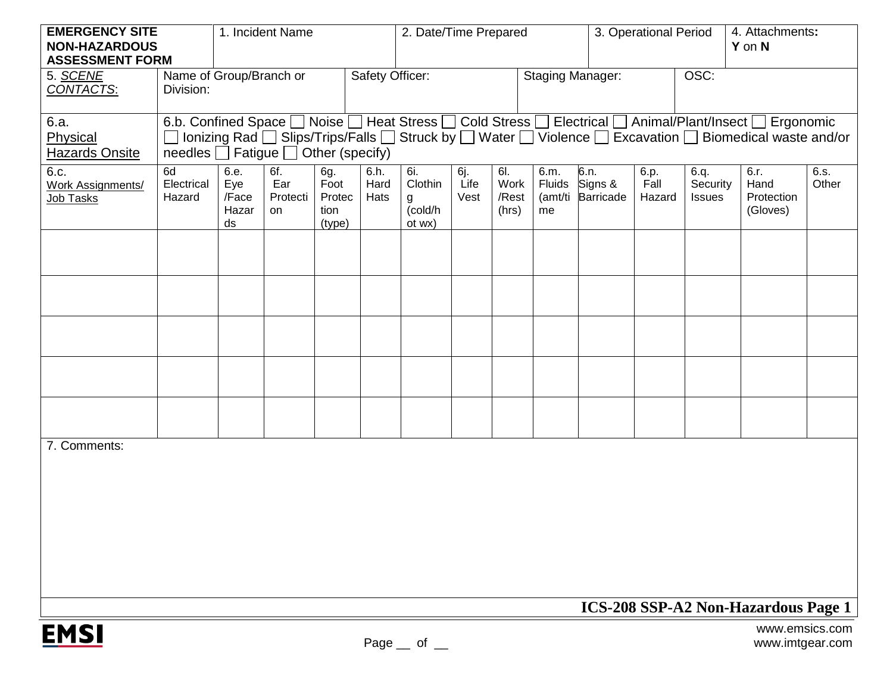| <b>EMERGENCY SITE</b><br><b>NON-HAZARDOUS</b><br><b>ASSESSMENT FORM</b> |                                      |                                     | 1. Incident Name             |                                         |                      | 2. Date/Time Prepared                    |                     |                               |                         | 3. Operational Period                |                        | 4. Attachments:<br>Y on N         |                                                                                                                                                                                                                      |                 |
|-------------------------------------------------------------------------|--------------------------------------|-------------------------------------|------------------------------|-----------------------------------------|----------------------|------------------------------------------|---------------------|-------------------------------|-------------------------|--------------------------------------|------------------------|-----------------------------------|----------------------------------------------------------------------------------------------------------------------------------------------------------------------------------------------------------------------|-----------------|
| 5. SCENE<br>CONTACTS:                                                   | Name of Group/Branch or<br>Division: |                                     |                              |                                         | Safety Officer:      |                                          |                     |                               | <b>Staging Manager:</b> |                                      |                        | OSC:                              |                                                                                                                                                                                                                      |                 |
| 6.a.<br>Physical<br><b>Hazards Onsite</b>                               | needles □ Fatigue □ Other (specify)  |                                     |                              |                                         |                      |                                          |                     |                               |                         |                                      |                        |                                   | 6.b. Confined Space   Noise   Heat Stress   Cold Stress   Electrical   Animal/Plant/Insect   Ergonomic<br>Ionizing Rad <i>Slips/Trips/Falls</i> Struck by <i>Nater</i> Violence E Excavation Biomedical waste and/or |                 |
| 6.c.<br>Work Assignments/<br>Job Tasks                                  | 6d<br>Electrical<br>Hazard           | 6.e.<br>Eye<br>/Face<br>Hazar<br>ds | 6f.<br>Ear<br>Protecti<br>on | 6g.<br>Foot<br>Protec<br>tion<br>(type) | 6.h.<br>Hard<br>Hats | 6i.<br>Clothin<br>g<br>(cold/h<br>ot wx) | 6j.<br>Life<br>Vest | 6I.<br>Work<br>/Rest<br>(hrs) | 6.m.<br>Fluids<br>me    | 6.n.<br>Signs &<br>(amt/ti Barricade | 6.p.<br>Fall<br>Hazard | 6.q.<br>Security<br><b>Issues</b> | 6.r.<br>Hand<br>Protection<br>(Gloves)                                                                                                                                                                               | 6.s.<br>Other   |
|                                                                         |                                      |                                     |                              |                                         |                      |                                          |                     |                               |                         |                                      |                        |                                   |                                                                                                                                                                                                                      |                 |
|                                                                         |                                      |                                     |                              |                                         |                      |                                          |                     |                               |                         |                                      |                        |                                   |                                                                                                                                                                                                                      |                 |
|                                                                         |                                      |                                     |                              |                                         |                      |                                          |                     |                               |                         |                                      |                        |                                   |                                                                                                                                                                                                                      |                 |
| 7. Comments:                                                            |                                      |                                     |                              |                                         |                      |                                          |                     |                               |                         |                                      |                        |                                   |                                                                                                                                                                                                                      |                 |
|                                                                         |                                      |                                     |                              |                                         |                      |                                          |                     |                               |                         |                                      |                        |                                   |                                                                                                                                                                                                                      |                 |
|                                                                         |                                      |                                     |                              |                                         |                      |                                          |                     |                               |                         |                                      |                        |                                   |                                                                                                                                                                                                                      |                 |
|                                                                         |                                      |                                     |                              |                                         |                      |                                          |                     |                               |                         |                                      |                        |                                   | ICS-208 SSP-A2 Non-Hazardous Page 1                                                                                                                                                                                  |                 |
| <b>EMSI</b>                                                             |                                      |                                     |                              |                                         | Page                 | of                                       |                     |                               |                         |                                      |                        |                                   | www.emsics.com                                                                                                                                                                                                       | www.imtgear.com |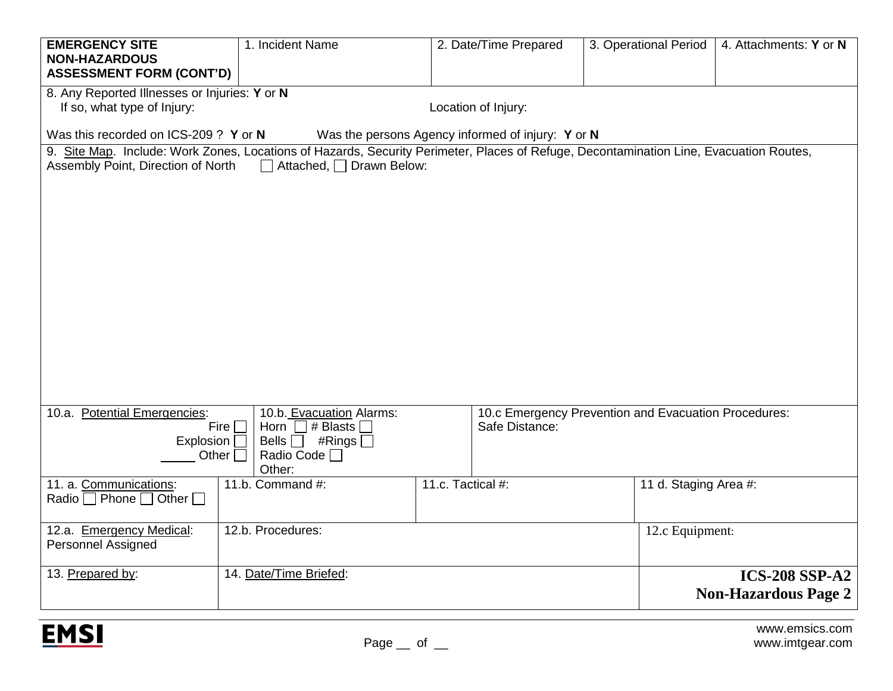| <b>EMERGENCY SITE</b><br><b>NON-HAZARDOUS</b><br><b>ASSESSMENT FORM (CONT'D)</b>                                                       | 1. Incident Name                              | 2. Date/Time Prepared                             | 3. Operational Period                                | 4. Attachments: Y or N      |  |  |  |  |  |  |
|----------------------------------------------------------------------------------------------------------------------------------------|-----------------------------------------------|---------------------------------------------------|------------------------------------------------------|-----------------------------|--|--|--|--|--|--|
|                                                                                                                                        |                                               |                                                   |                                                      |                             |  |  |  |  |  |  |
| 8. Any Reported Illnesses or Injuries: Y or N                                                                                          |                                               |                                                   |                                                      |                             |  |  |  |  |  |  |
| If so, what type of Injury:<br>Location of Injury:                                                                                     |                                               |                                                   |                                                      |                             |  |  |  |  |  |  |
| Was this recorded on ICS-209 ? Y or N                                                                                                  |                                               | Was the persons Agency informed of injury: Y or N |                                                      |                             |  |  |  |  |  |  |
| 9. Site Map. Include: Work Zones, Locations of Hazards, Security Perimeter, Places of Refuge, Decontamination Line, Evacuation Routes, |                                               |                                                   |                                                      |                             |  |  |  |  |  |  |
| Assembly Point, Direction of North                                                                                                     | $\Box$ Attached, $\Box$ Drawn Below:          |                                                   |                                                      |                             |  |  |  |  |  |  |
|                                                                                                                                        |                                               |                                                   |                                                      |                             |  |  |  |  |  |  |
|                                                                                                                                        |                                               |                                                   |                                                      |                             |  |  |  |  |  |  |
|                                                                                                                                        |                                               |                                                   |                                                      |                             |  |  |  |  |  |  |
|                                                                                                                                        |                                               |                                                   |                                                      |                             |  |  |  |  |  |  |
|                                                                                                                                        |                                               |                                                   |                                                      |                             |  |  |  |  |  |  |
|                                                                                                                                        |                                               |                                                   |                                                      |                             |  |  |  |  |  |  |
|                                                                                                                                        |                                               |                                                   |                                                      |                             |  |  |  |  |  |  |
|                                                                                                                                        |                                               |                                                   |                                                      |                             |  |  |  |  |  |  |
|                                                                                                                                        |                                               |                                                   |                                                      |                             |  |  |  |  |  |  |
|                                                                                                                                        |                                               |                                                   |                                                      |                             |  |  |  |  |  |  |
|                                                                                                                                        |                                               |                                                   |                                                      |                             |  |  |  |  |  |  |
|                                                                                                                                        |                                               |                                                   |                                                      |                             |  |  |  |  |  |  |
|                                                                                                                                        |                                               |                                                   |                                                      |                             |  |  |  |  |  |  |
|                                                                                                                                        |                                               |                                                   |                                                      |                             |  |  |  |  |  |  |
| 10.a. Potential Emergencies:                                                                                                           | 10.b. Evacuation Alarms:                      |                                                   | 10.c Emergency Prevention and Evacuation Procedures: |                             |  |  |  |  |  |  |
|                                                                                                                                        | Fire $\square$<br>Horn $\Box$ # Blasts $\Box$ | Safe Distance:                                    |                                                      |                             |  |  |  |  |  |  |
| Explosion $\square$                                                                                                                    | Bells $\Box$ #Rings $\Box$                    |                                                   |                                                      |                             |  |  |  |  |  |  |
| Other $\square$                                                                                                                        | Radio Code <sub>D</sub>                       |                                                   |                                                      |                             |  |  |  |  |  |  |
|                                                                                                                                        | Other:                                        |                                                   |                                                      |                             |  |  |  |  |  |  |
| 11. a. Communications:                                                                                                                 | 11.b. Command #:                              | 11.c. Tactical #:                                 | 11 d. Staging Area #:                                |                             |  |  |  |  |  |  |
| Radio $\Box$ Phone $\Box$ Other $\Box$                                                                                                 |                                               |                                                   |                                                      |                             |  |  |  |  |  |  |
|                                                                                                                                        |                                               |                                                   |                                                      |                             |  |  |  |  |  |  |
| 12.a. Emergency Medical:                                                                                                               | 12.b. Procedures:                             |                                                   | 12.c Equipment:                                      |                             |  |  |  |  |  |  |
| Personnel Assigned                                                                                                                     |                                               |                                                   |                                                      |                             |  |  |  |  |  |  |
|                                                                                                                                        |                                               |                                                   |                                                      |                             |  |  |  |  |  |  |
| 13. Prepared by:                                                                                                                       | 14. Date/Time Briefed:                        |                                                   |                                                      | <b>ICS-208 SSP-A2</b>       |  |  |  |  |  |  |
|                                                                                                                                        |                                               |                                                   |                                                      | <b>Non-Hazardous Page 2</b> |  |  |  |  |  |  |
|                                                                                                                                        |                                               |                                                   |                                                      |                             |  |  |  |  |  |  |

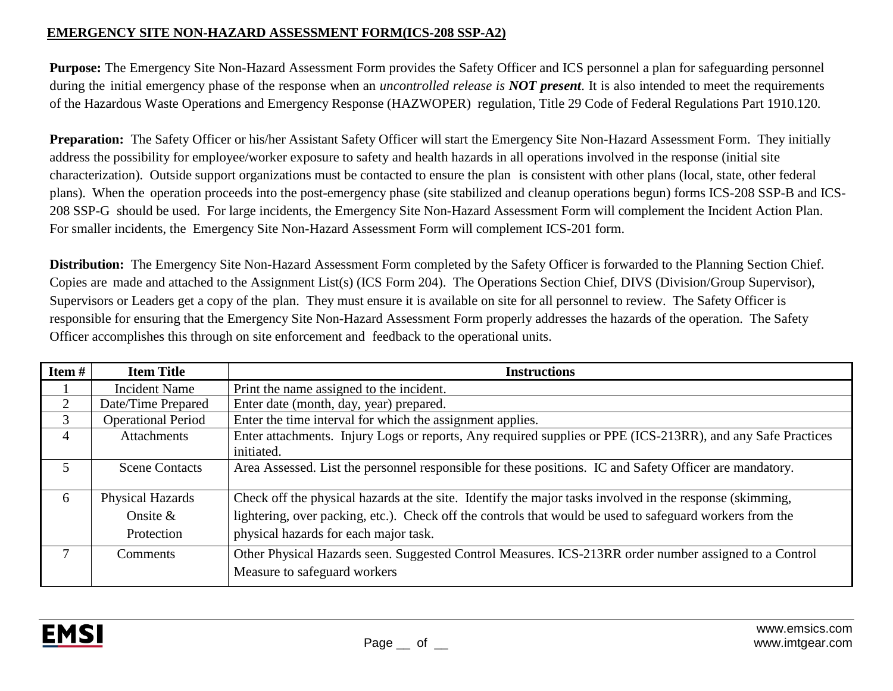#### **EMERGENCY SITE NON-HAZARD ASSESSMENT FORM(ICS-208 SSP-A2)**

Purpose: The Emergency Site Non-Hazard Assessment Form provides the Safety Officer and ICS personnel a plan for safeguarding personnel during the initial emergency phase of the response when an *uncontrolled release is NOT present*. It is also intended to meet the requirements of the Hazardous Waste Operations and Emergency Response (HAZWOPER) regulation, Title 29 Code of Federal Regulations Part 1910.120.

**Preparation:** The Safety Officer or his/her Assistant Safety Officer will start the Emergency Site Non-Hazard Assessment Form. They initially address the possibility for employee/worker exposure to safety and health hazards in all operations involved in the response (initial site characterization). Outside support organizations must be contacted to ensure the plan is consistent with other plans (local, state, other federal plans). When the operation proceeds into the post-emergency phase (site stabilized and cleanup operations begun) forms ICS-208 SSP-B and ICS-208 SSP-G should be used. For large incidents, the Emergency Site Non-Hazard Assessment Form will complement the Incident Action Plan. For smaller incidents, the Emergency Site Non-Hazard Assessment Form will complement ICS-201 form.

**Distribution:** The Emergency Site Non-Hazard Assessment Form completed by the Safety Officer is forwarded to the Planning Section Chief. Copies are made and attached to the Assignment List(s) (ICS Form 204). The Operations Section Chief, DIVS (Division/Group Supervisor), Supervisors or Leaders get a copy of the plan. They must ensure it is available on site for all personnel to review. The Safety Officer is responsible for ensuring that the Emergency Site Non-Hazard Assessment Form properly addresses the hazards of the operation. The Safety Officer accomplishes this through on site enforcement and feedback to the operational units.

| Item# | <b>Item Title</b>         | <b>Instructions</b>                                                                                         |
|-------|---------------------------|-------------------------------------------------------------------------------------------------------------|
|       | <b>Incident Name</b>      | Print the name assigned to the incident.                                                                    |
|       | Date/Time Prepared        | Enter date (month, day, year) prepared.                                                                     |
| 3     | <b>Operational Period</b> | Enter the time interval for which the assignment applies.                                                   |
| 4     | <b>Attachments</b>        | Enter attachments. Injury Logs or reports, Any required supplies or PPE (ICS-213RR), and any Safe Practices |
|       |                           | initiated.                                                                                                  |
| 5.    | <b>Scene Contacts</b>     | Area Assessed. List the personnel responsible for these positions. IC and Safety Officer are mandatory.     |
|       |                           |                                                                                                             |
| 6     | <b>Physical Hazards</b>   | Check off the physical hazards at the site. Identify the major tasks involved in the response (skimming,    |
|       | Onsite $\&$               | lightering, over packing, etc.). Check off the controls that would be used to safeguard workers from the    |
|       | Protection                | physical hazards for each major task.                                                                       |
|       | Comments                  | Other Physical Hazards seen. Suggested Control Measures. ICS-213RR order number assigned to a Control       |
|       |                           | Measure to safeguard workers                                                                                |

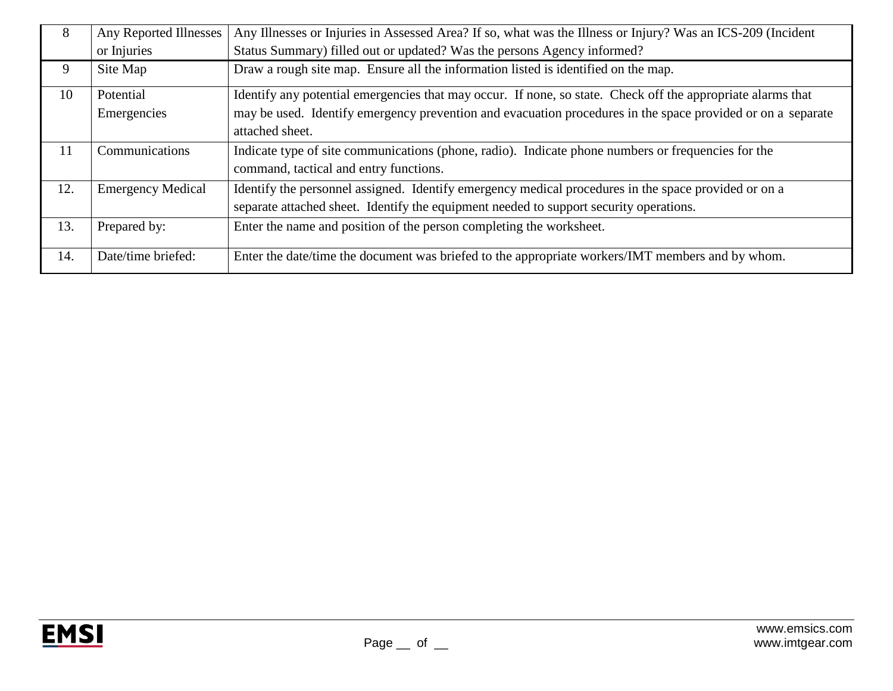| 8   | Any Reported Illnesses   | Any Illnesses or Injuries in Assessed Area? If so, what was the Illness or Injury? Was an ICS-209 (Incident |
|-----|--------------------------|-------------------------------------------------------------------------------------------------------------|
|     | or Injuries              | Status Summary) filled out or updated? Was the persons Agency informed?                                     |
| 9   | Site Map                 | Draw a rough site map. Ensure all the information listed is identified on the map.                          |
| 10  | Potential                | Identify any potential emergencies that may occur. If none, so state. Check off the appropriate alarms that |
|     | Emergencies              | may be used. Identify emergency prevention and evacuation procedures in the space provided or on a separate |
|     |                          | attached sheet.                                                                                             |
| 11  | Communications           | Indicate type of site communications (phone, radio). Indicate phone numbers or frequencies for the          |
|     |                          | command, tactical and entry functions.                                                                      |
| 12. | <b>Emergency Medical</b> | Identify the personnel assigned. Identify emergency medical procedures in the space provided or on a        |
|     |                          | separate attached sheet. Identify the equipment needed to support security operations.                      |
| 13. | Prepared by:             | Enter the name and position of the person completing the worksheet.                                         |
|     |                          |                                                                                                             |
| 14. | Date/time briefed:       | Enter the date/time the document was briefed to the appropriate workers/IMT members and by whom.            |

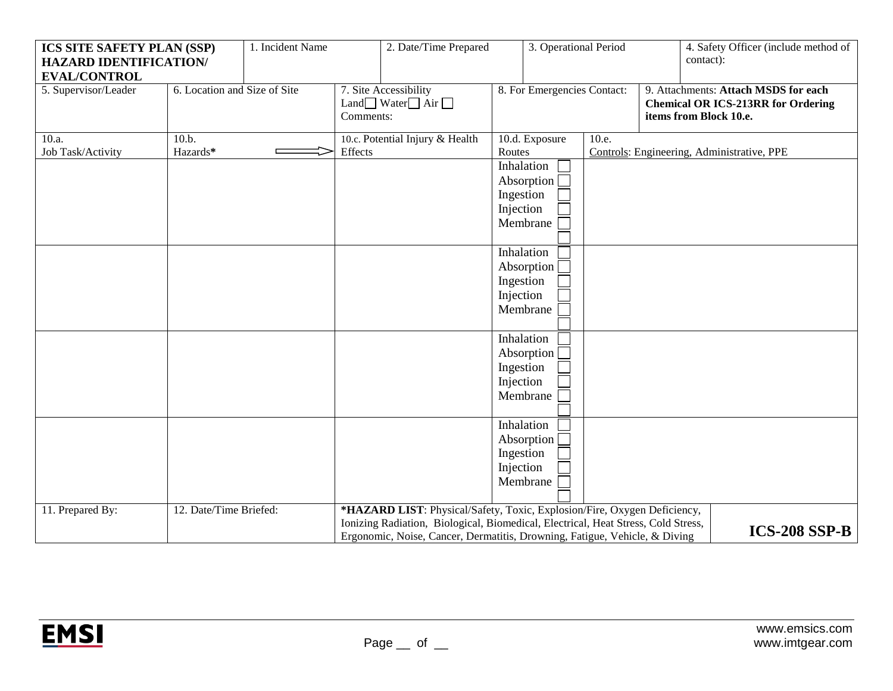| ICS SITE SAFETY PLAN (SSP)<br><b>HAZARD IDENTIFICATION/</b><br><b>EVAL/CONTROL</b> |                              | 1. Incident Name |         | 2. Date/Time Prepared                                                                                                                                                                                                                       |                        | 3. Operational Period                |       |  | 4. Safety Officer (include method of<br>contact):                                                           |  |
|------------------------------------------------------------------------------------|------------------------------|------------------|---------|---------------------------------------------------------------------------------------------------------------------------------------------------------------------------------------------------------------------------------------------|------------------------|--------------------------------------|-------|--|-------------------------------------------------------------------------------------------------------------|--|
| 5. Supervisor/Leader                                                               | 6. Location and Size of Site |                  |         | 7. Site Accessibility<br>Land□ Water□ Air □<br>Comments:                                                                                                                                                                                    |                        | 8. For Emergencies Contact:          |       |  | 9. Attachments: Attach MSDS for each<br><b>Chemical OR ICS-213RR for Ordering</b><br>items from Block 10.e. |  |
| 10.a.<br>Job Task/Activity                                                         | 10.b.<br>Hazards*            |                  | Effects | 10.c. Potential Injury & Health                                                                                                                                                                                                             | Routes                 | 10.d. Exposure                       | 10.e. |  | Controls: Engineering, Administrative, PPE                                                                  |  |
|                                                                                    |                              |                  |         |                                                                                                                                                                                                                                             | Ingestion<br>Injection | Inhalation<br>Absorption<br>Membrane |       |  |                                                                                                             |  |
|                                                                                    |                              |                  |         |                                                                                                                                                                                                                                             | Ingestion<br>Injection | Inhalation<br>Absorption<br>Membrane |       |  |                                                                                                             |  |
|                                                                                    |                              |                  |         |                                                                                                                                                                                                                                             | Ingestion<br>Injection | Inhalation<br>Absorption<br>Membrane |       |  |                                                                                                             |  |
|                                                                                    |                              |                  |         |                                                                                                                                                                                                                                             | Ingestion<br>Injection | Inhalation<br>Absorption<br>Membrane |       |  |                                                                                                             |  |
| 11. Prepared By:                                                                   | 12. Date/Time Briefed:       |                  |         | *HAZARD LIST: Physical/Safety, Toxic, Explosion/Fire, Oxygen Deficiency,<br>Ionizing Radiation, Biological, Biomedical, Electrical, Heat Stress, Cold Stress,<br>Ergonomic, Noise, Cancer, Dermatitis, Drowning, Fatigue, Vehicle, & Diving |                        |                                      |       |  | <b>ICS-208 SSP-B</b>                                                                                        |  |

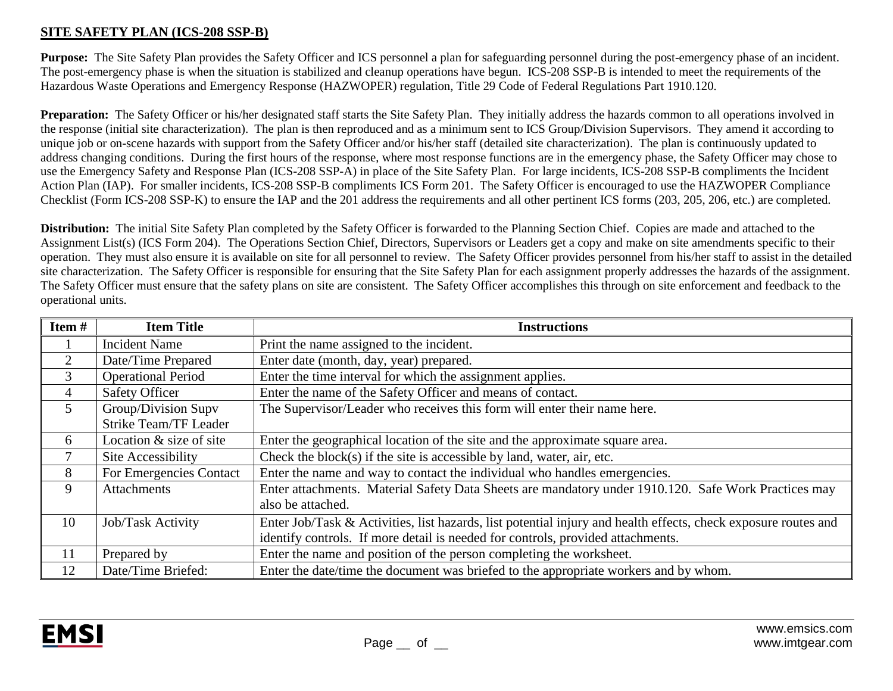#### **SITE SAFETY PLAN (ICS-208 SSP-B)**

**Purpose:** The Site Safety Plan provides the Safety Officer and ICS personnel a plan for safeguarding personnel during the post-emergency phase of an incident. The post-emergency phase is when the situation is stabilized and cleanup operations have begun. ICS-208 SSP-B is intended to meet the requirements of the Hazardous Waste Operations and Emergency Response (HAZWOPER) regulation, Title 29 Code of Federal Regulations Part 1910.120.

**Preparation:** The Safety Officer or his/her designated staff starts the Site Safety Plan. They initially address the hazards common to all operations involved in the response (initial site characterization). The plan is then reproduced and as a minimum sent to ICS Group/Division Supervisors. They amend it according to unique job or on-scene hazards with support from the Safety Officer and/or his/her staff (detailed site characterization). The plan is continuously updated to address changing conditions. During the first hours of the response, where most response functions are in the emergency phase, the Safety Officer may chose to use the Emergency Safety and Response Plan (ICS-208 SSP-A) in place of the Site Safety Plan. For large incidents, ICS-208 SSP-B compliments the Incident Action Plan (IAP). For smaller incidents, ICS-208 SSP-B compliments ICS Form 201. The Safety Officer is encouraged to use the HAZWOPER Compliance Checklist (Form ICS-208 SSP-K) to ensure the IAP and the 201 address the requirements and all other pertinent ICS forms (203, 205, 206, etc.) are completed.

**Distribution:** The initial Site Safety Plan completed by the Safety Officer is forwarded to the Planning Section Chief. Copies are made and attached to the Assignment List(s) (ICS Form 204). The Operations Section Chief, Directors, Supervisors or Leaders get a copy and make on site amendments specific to their operation. They must also ensure it is available on site for all personnel to review. The Safety Officer provides personnel from his/her staff to assist in the detailed site characterization. The Safety Officer is responsible for ensuring that the Site Safety Plan for each assignment properly addresses the hazards of the assignment. The Safety Officer must ensure that the safety plans on site are consistent. The Safety Officer accomplishes this through on site enforcement and feedback to the operational units.

| Item#          | <b>Item Title</b>            | <b>Instructions</b>                                                                                            |
|----------------|------------------------------|----------------------------------------------------------------------------------------------------------------|
|                | <b>Incident Name</b>         | Print the name assigned to the incident.                                                                       |
| 2              | Date/Time Prepared           | Enter date (month, day, year) prepared.                                                                        |
| 3              | <b>Operational Period</b>    | Enter the time interval for which the assignment applies.                                                      |
| 4              | <b>Safety Officer</b>        | Enter the name of the Safety Officer and means of contact.                                                     |
| 5 <sup>5</sup> | Group/Division Supv          | The Supervisor/Leader who receives this form will enter their name here.                                       |
|                | <b>Strike Team/TF Leader</b> |                                                                                                                |
| 6              | Location & size of site      | Enter the geographical location of the site and the approximate square area.                                   |
|                | Site Accessibility           | Check the block $(s)$ if the site is accessible by land, water, air, etc.                                      |
| 8              | For Emergencies Contact      | Enter the name and way to contact the individual who handles emergencies.                                      |
| 9              | <b>Attachments</b>           | Enter attachments. Material Safety Data Sheets are mandatory under 1910.120. Safe Work Practices may           |
|                |                              | also be attached.                                                                                              |
| 10             | Job/Task Activity            | Enter Job/Task & Activities, list hazards, list potential injury and health effects, check exposure routes and |
|                |                              | identify controls. If more detail is needed for controls, provided attachments.                                |
| 11             | Prepared by                  | Enter the name and position of the person completing the worksheet.                                            |
| 12             | Date/Time Briefed:           | Enter the date/time the document was briefed to the appropriate workers and by whom.                           |

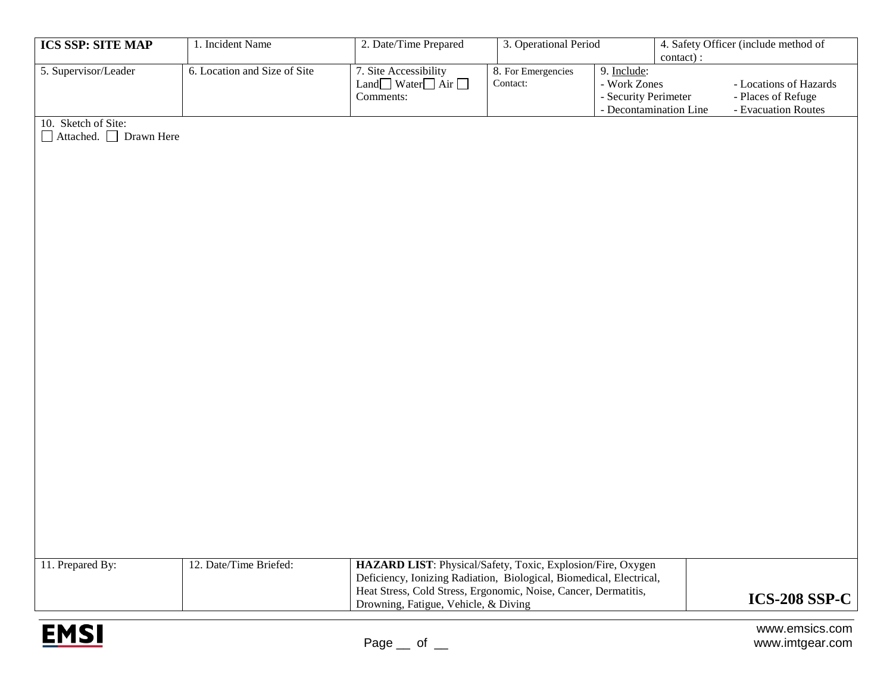| <b>ICS SSP: SITE MAP</b>                                  | 1. Incident Name             | 2. Date/Time Prepared                                              | 3. Operational Period          |                                                     | 4. Safety Officer (include method of<br>contact): |                                                                     |
|-----------------------------------------------------------|------------------------------|--------------------------------------------------------------------|--------------------------------|-----------------------------------------------------|---------------------------------------------------|---------------------------------------------------------------------|
| 5. Supervisor/Leader                                      | 6. Location and Size of Site | 7. Site Accessibility<br>Land Water $\Box$ Air $\Box$<br>Comments: | 8. For Emergencies<br>Contact: | 9. Include:<br>- Work Zones<br>- Security Perimeter | - Decontamination Line                            | - Locations of Hazards<br>- Places of Refuge<br>- Evacuation Routes |
| 10. Sketch of Site:<br>$\Box$ Attached. $\Box$ Drawn Here |                              |                                                                    |                                |                                                     |                                                   |                                                                     |
|                                                           |                              |                                                                    |                                |                                                     |                                                   |                                                                     |

| 11. Prepared By: | 12. Date/Time Briefed: | <b>HAZARD LIST:</b> Physical/Safety, Toxic, Explosion/Fire, Oxygen  |                      |
|------------------|------------------------|---------------------------------------------------------------------|----------------------|
|                  |                        | Deficiency, Ionizing Radiation, Biological, Biomedical, Electrical, |                      |
|                  |                        | Heat Stress, Cold Stress, Ergonomic, Noise, Cancer, Dermatitis,     |                      |
|                  |                        | Drowning, Fatigue, Vehicle, & Diving                                | <b>ICS-208 SSP-C</b> |

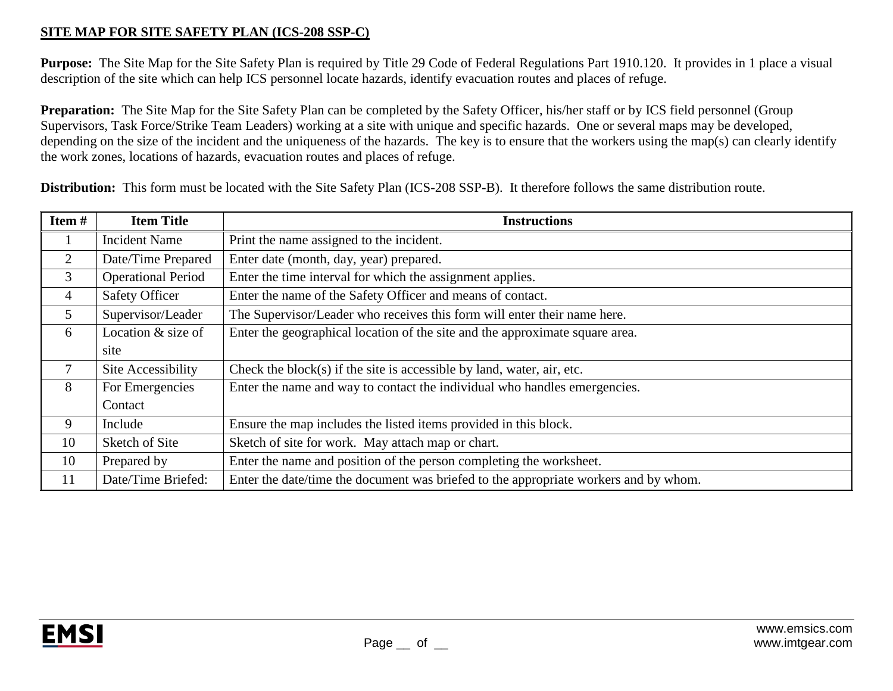#### **SITE MAP FOR SITE SAFETY PLAN (ICS-208 SSP-C)**

**Purpose:** The Site Map for the Site Safety Plan is required by Title 29 Code of Federal Regulations Part 1910.120. It provides in 1 place a visual description of the site which can help ICS personnel locate hazards, identify evacuation routes and places of refuge.

**Preparation:** The Site Map for the Site Safety Plan can be completed by the Safety Officer, his/her staff or by ICS field personnel (Group Supervisors, Task Force/Strike Team Leaders) working at a site with unique and specific hazards. One or several maps may be developed, depending on the size of the incident and the uniqueness of the hazards. The key is to ensure that the workers using the map(s) can clearly identify the work zones, locations of hazards, evacuation routes and places of refuge.

| Item#          | <b>Item Title</b>         | <b>Instructions</b>                                                                  |
|----------------|---------------------------|--------------------------------------------------------------------------------------|
|                | <b>Incident Name</b>      | Print the name assigned to the incident.                                             |
| 2              | Date/Time Prepared        | Enter date (month, day, year) prepared.                                              |
| $\overline{3}$ | <b>Operational Period</b> | Enter the time interval for which the assignment applies.                            |
| $\overline{4}$ | <b>Safety Officer</b>     | Enter the name of the Safety Officer and means of contact.                           |
| 5              | Supervisor/Leader         | The Supervisor/Leader who receives this form will enter their name here.             |
| 6              | Location & size of        | Enter the geographical location of the site and the approximate square area.         |
|                | site                      |                                                                                      |
| 7              | Site Accessibility        | Check the block $(s)$ if the site is accessible by land, water, air, etc.            |
| 8              | For Emergencies           | Enter the name and way to contact the individual who handles emergencies.            |
|                | Contact                   |                                                                                      |
| 9              | Include                   | Ensure the map includes the listed items provided in this block.                     |
| 10             | Sketch of Site            | Sketch of site for work. May attach map or chart.                                    |
| 10             | Prepared by               | Enter the name and position of the person completing the worksheet.                  |
| 11             | Date/Time Briefed:        | Enter the date/time the document was briefed to the appropriate workers and by whom. |

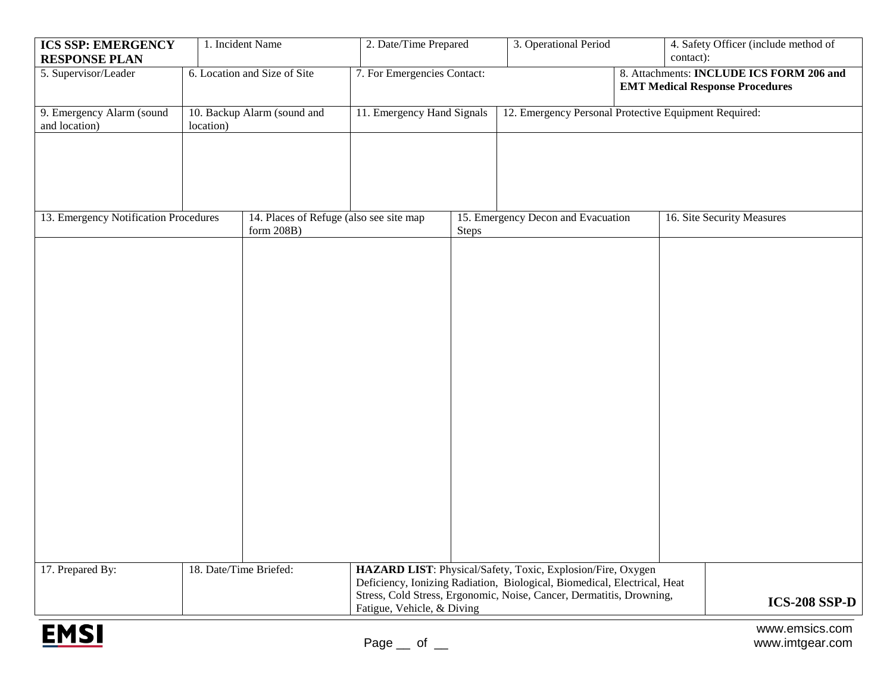| <b>ICS SSP: EMERGENCY</b><br><b>RESPONSE PLAN</b> | 1. Incident Name                           |                                                          | 2. Date/Time Prepared      |                             | 3. Operational Period                                                                                                                            |                                                                                    | 4. Safety Officer (include method of<br>contact): |
|---------------------------------------------------|--------------------------------------------|----------------------------------------------------------|----------------------------|-----------------------------|--------------------------------------------------------------------------------------------------------------------------------------------------|------------------------------------------------------------------------------------|---------------------------------------------------|
| 5. Supervisor/Leader                              |                                            | 6. Location and Size of Site                             |                            | 7. For Emergencies Contact: |                                                                                                                                                  | 8. Attachments: INCLUDE ICS FORM 206 and<br><b>EMT Medical Response Procedures</b> |                                                   |
| 9. Emergency Alarm (sound<br>and location)        | location)                                  | 10. Backup Alarm (sound and                              | 11. Emergency Hand Signals |                             | 12. Emergency Personal Protective Equipment Required:                                                                                            |                                                                                    |                                                   |
|                                                   |                                            |                                                          |                            |                             |                                                                                                                                                  |                                                                                    |                                                   |
| 13. Emergency Notification Procedures             |                                            | 14. Places of Refuge (also see site map<br>form $208B$ ) |                            | Steps                       | 15. Emergency Decon and Evacuation                                                                                                               |                                                                                    | 16. Site Security Measures                        |
|                                                   |                                            |                                                          |                            |                             |                                                                                                                                                  |                                                                                    |                                                   |
|                                                   |                                            |                                                          |                            |                             |                                                                                                                                                  |                                                                                    |                                                   |
|                                                   |                                            |                                                          |                            |                             |                                                                                                                                                  |                                                                                    |                                                   |
|                                                   |                                            |                                                          |                            |                             |                                                                                                                                                  |                                                                                    |                                                   |
|                                                   |                                            |                                                          |                            |                             |                                                                                                                                                  |                                                                                    |                                                   |
|                                                   |                                            |                                                          |                            |                             |                                                                                                                                                  |                                                                                    |                                                   |
|                                                   |                                            |                                                          |                            |                             |                                                                                                                                                  |                                                                                    |                                                   |
|                                                   |                                            |                                                          |                            |                             |                                                                                                                                                  |                                                                                    |                                                   |
|                                                   |                                            |                                                          |                            |                             |                                                                                                                                                  |                                                                                    |                                                   |
|                                                   |                                            |                                                          |                            |                             |                                                                                                                                                  |                                                                                    |                                                   |
|                                                   |                                            |                                                          |                            |                             | HAZARD LIST: Physical/Safety, Toxic, Explosion/Fire, Oxygen                                                                                      |                                                                                    |                                                   |
|                                                   | 17. Prepared By:<br>18. Date/Time Briefed: |                                                          |                            | Fatigue, Vehicle, & Diving  | Deficiency, Ionizing Radiation, Biological, Biomedical, Electrical, Heat<br>Stress, Cold Stress, Ergonomic, Noise, Cancer, Dermatitis, Drowning, |                                                                                    | <b>ICS-208 SSP-D</b>                              |

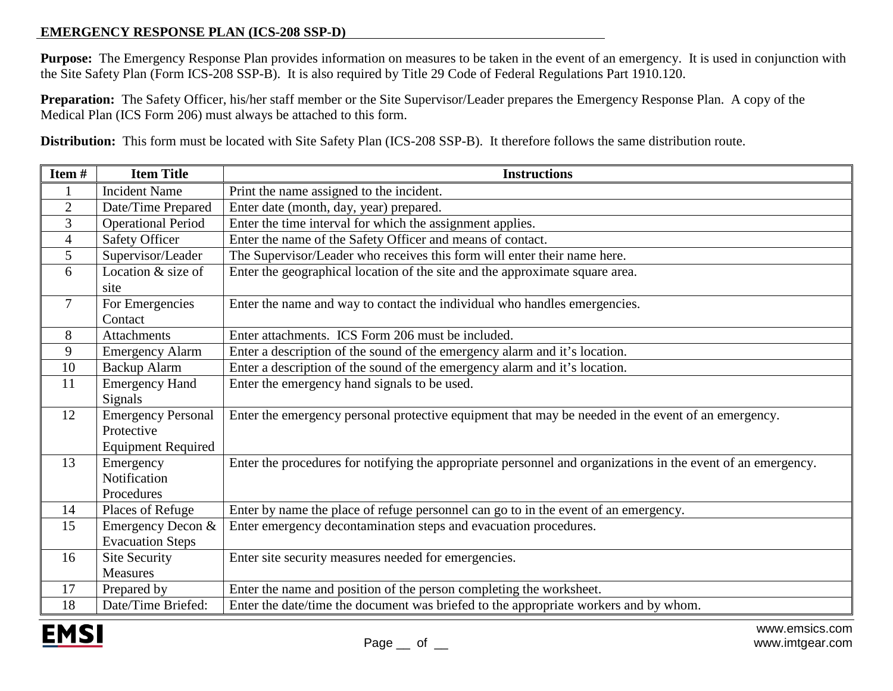#### **EMERGENCY RESPONSE PLAN (ICS-208 SSP-D)**

Purpose: The Emergency Response Plan provides information on measures to be taken in the event of an emergency. It is used in conjunction with the Site Safety Plan (Form ICS-208 SSP-B). It is also required by Title 29 Code of Federal Regulations Part 1910.120.

Preparation: The Safety Officer, his/her staff member or the Site Supervisor/Leader prepares the Emergency Response Plan. A copy of the Medical Plan (ICS Form 206) must always be attached to this form.

| Item#          | <b>Item Title</b>         | <b>Instructions</b>                                                                                          |
|----------------|---------------------------|--------------------------------------------------------------------------------------------------------------|
|                | <b>Incident Name</b>      | Print the name assigned to the incident.                                                                     |
| $\overline{2}$ | Date/Time Prepared        | Enter date (month, day, year) prepared.                                                                      |
| 3              | <b>Operational Period</b> | Enter the time interval for which the assignment applies.                                                    |
| $\overline{4}$ | <b>Safety Officer</b>     | Enter the name of the Safety Officer and means of contact.                                                   |
| 5 <sup>5</sup> | Supervisor/Leader         | The Supervisor/Leader who receives this form will enter their name here.                                     |
| 6              | Location & size of        | Enter the geographical location of the site and the approximate square area.                                 |
|                | site                      |                                                                                                              |
| $\overline{7}$ | For Emergencies           | Enter the name and way to contact the individual who handles emergencies.                                    |
|                | Contact                   |                                                                                                              |
| 8              | <b>Attachments</b>        | Enter attachments. ICS Form 206 must be included.                                                            |
| 9              | <b>Emergency Alarm</b>    | Enter a description of the sound of the emergency alarm and it's location.                                   |
| 10             | <b>Backup Alarm</b>       | Enter a description of the sound of the emergency alarm and it's location.                                   |
| 11             | <b>Emergency Hand</b>     | Enter the emergency hand signals to be used.                                                                 |
|                | <b>Signals</b>            |                                                                                                              |
| 12             | <b>Emergency Personal</b> | Enter the emergency personal protective equipment that may be needed in the event of an emergency.           |
|                | Protective                |                                                                                                              |
|                | <b>Equipment Required</b> |                                                                                                              |
| 13             | Emergency                 | Enter the procedures for notifying the appropriate personnel and organizations in the event of an emergency. |
|                | Notification              |                                                                                                              |
|                | Procedures                |                                                                                                              |
| 14             | Places of Refuge          | Enter by name the place of refuge personnel can go to in the event of an emergency.                          |
| 15             | Emergency Decon &         | Enter emergency decontamination steps and evacuation procedures.                                             |
|                | <b>Evacuation Steps</b>   |                                                                                                              |
| 16             | Site Security             | Enter site security measures needed for emergencies.                                                         |
|                | <b>Measures</b>           |                                                                                                              |
| 17             | Prepared by               | Enter the name and position of the person completing the worksheet.                                          |
| 18             | Date/Time Briefed:        | Enter the date/time the document was briefed to the appropriate workers and by whom.                         |

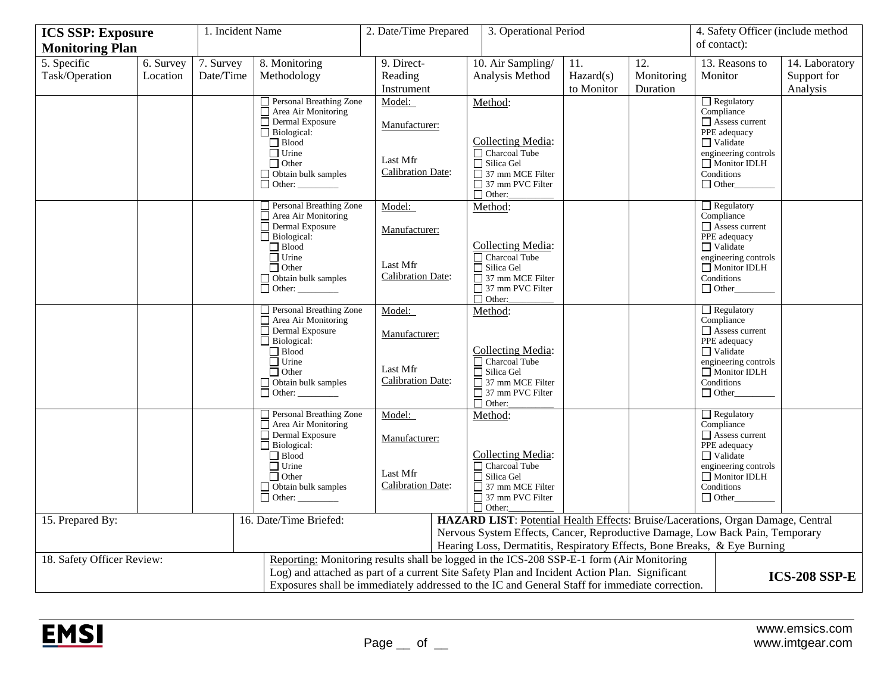| <b>ICS SSP: Exposure</b>                                                                                                                                                                                                                                                                                                   |           | 1. Incident Name |                                                                                                                                                                                                      | 2. Date/Time Prepared                                           |                                                                                                                                                             | 3. Operational Period |            | 4. Safety Officer (include method                                                                                                                                        |                |
|----------------------------------------------------------------------------------------------------------------------------------------------------------------------------------------------------------------------------------------------------------------------------------------------------------------------------|-----------|------------------|------------------------------------------------------------------------------------------------------------------------------------------------------------------------------------------------------|-----------------------------------------------------------------|-------------------------------------------------------------------------------------------------------------------------------------------------------------|-----------------------|------------|--------------------------------------------------------------------------------------------------------------------------------------------------------------------------|----------------|
| <b>Monitoring Plan</b>                                                                                                                                                                                                                                                                                                     |           |                  |                                                                                                                                                                                                      |                                                                 |                                                                                                                                                             |                       |            | of contact):                                                                                                                                                             |                |
| 5. Specific                                                                                                                                                                                                                                                                                                                | 6. Survey | 7. Survey        | 8. Monitoring                                                                                                                                                                                        | 9. Direct-                                                      | $\overline{10}$ . Air Sampling/                                                                                                                             | 11.                   | 12.        | 13. Reasons to                                                                                                                                                           | 14. Laboratory |
| Task/Operation                                                                                                                                                                                                                                                                                                             | Location  | Date/Time        | Methodology                                                                                                                                                                                          | Reading                                                         | Analysis Method                                                                                                                                             | Hazard(s)             | Monitoring | Monitor                                                                                                                                                                  | Support for    |
|                                                                                                                                                                                                                                                                                                                            |           |                  |                                                                                                                                                                                                      | Instrument                                                      |                                                                                                                                                             | to Monitor            | Duration   |                                                                                                                                                                          | Analysis       |
|                                                                                                                                                                                                                                                                                                                            |           |                  | Personal Breathing Zone<br>$\Box$ Area Air Monitoring<br>$\Box$ Dermal Exposure<br>Biological:<br>$\Box$ Blood<br>$\Box$ Urine<br>$\Box$ Other<br>$\Box$ Obtain bulk samples<br>$\Box$ Other: $\Box$ | Model:<br>Manufacturer:<br>Last Mfr<br><b>Calibration Date:</b> | Method:<br>Collecting Media:<br>$\Box$ Charcoal Tube<br>$\overline{\Box}$ Silica Gel<br>$\Box$ 37 mm MCE Filter<br>$\Box$ 37 mm PVC Filter<br>$\Box$ Other: |                       |            | $\Box$ Regulatory<br>Compliance<br>$\Box$ Assess current<br>PPE adequacy<br>$\Box$ Validate<br>engineering controls<br>$\Box$ Monitor IDLH<br>Conditions<br>$\Box$ Other |                |
|                                                                                                                                                                                                                                                                                                                            |           |                  | Personal Breathing Zone<br>$\Box$ Area Air Monitoring<br>$\Box$ Dermal Exposure<br>$\Box$ Biological:<br>$\Box$ Blood<br>$\Box$ Urine<br>$\Box$ Other                                                | Model:<br>Manufacturer:<br>Last Mfr                             | Method:<br>Collecting Media:<br>$\Box$ Charcoal Tube<br>Silica Gel                                                                                          |                       |            | $\Box$ Regulatory<br>Compliance<br>$\Box$ Assess current<br>PPE adequacy<br>$\Box$ Validate<br>engineering controls<br>$\Box$ Monitor IDLH                               |                |
|                                                                                                                                                                                                                                                                                                                            |           |                  | $\Box$ Obtain bulk samples<br>$\Box$ Other: $\Box$                                                                                                                                                   | <b>Calibration Date:</b>                                        | $\overline{\Box}$ 37 mm MCE Filter<br>$\Box$ 37 mm PVC Filter<br>$\Box$ Other:                                                                              |                       |            | Conditions<br>$\Box$ Other                                                                                                                                               |                |
|                                                                                                                                                                                                                                                                                                                            |           |                  | Personal Breathing Zone<br>$\Box$ Area Air Monitoring<br>$\Box$ Dermal Exposure<br>$\Box$ Biological:<br>$\Box$ Blood<br>$\Box$ Urine<br>$\Box$ Other                                                | Model:<br>Manufacturer:<br>Last Mfr                             | Method:<br>Collecting Media:<br>$\Box$ Charcoal Tube<br>$\Box$ Silica Gel                                                                                   |                       |            | $\Box$ Regulatory<br>Compliance<br>Assess current<br>PPE adequacy<br>$\Box$ Validate<br>engineering controls<br>$\Box$ Monitor IDLH                                      |                |
|                                                                                                                                                                                                                                                                                                                            |           |                  | $\Box$ Obtain bulk samples<br>$\Box$ Other: $\Box$                                                                                                                                                   | <b>Calibration Date:</b>                                        | $\Box$ 37 mm MCE Filter<br>$\Box$ 37 mm PVC Filter<br>$\Box$ Other:                                                                                         |                       |            | Conditions<br>$\Box$ Other                                                                                                                                               |                |
|                                                                                                                                                                                                                                                                                                                            |           |                  | Personal Breathing Zone<br>Area Air Monitoring<br>$\Box$ Dermal Exposure<br>Biological:<br>$\Box$ Blood                                                                                              | Model:<br>Manufacturer:                                         | Method:<br>Collecting Media:                                                                                                                                |                       |            | $\Box$ Regulatory<br>Compliance<br>$\Box$ Assess current<br>PPE adequacy<br>$\Box$ Validate                                                                              |                |
|                                                                                                                                                                                                                                                                                                                            |           |                  | $\Box$ Urine<br>$\Box$ Other<br>$\Box$ Obtain bulk samples<br>$\Box$ Other: $\Box$                                                                                                                   | Last Mfr<br><b>Calibration Date:</b>                            | $\Box$ Charcoal Tube<br>$\hfill\Box$ Silica Gel<br>$\Box$ 37 mm MCE Filter<br>$\Box$ 37 mm PVC Filter<br>$\Box$ Other:                                      |                       |            | engineering controls<br>$\Box$ Monitor IDLH<br>Conditions<br>$\Box$ Other                                                                                                |                |
| 15. Prepared By:                                                                                                                                                                                                                                                                                                           |           |                  | 16. Date/Time Briefed:                                                                                                                                                                               |                                                                 |                                                                                                                                                             |                       |            | HAZARD LIST: Potential Health Effects: Bruise/Lacerations, Organ Damage, Central<br>Nervous System Effects, Cancer, Reproductive Damage, Low Back Pain, Temporary        |                |
|                                                                                                                                                                                                                                                                                                                            |           |                  |                                                                                                                                                                                                      |                                                                 |                                                                                                                                                             |                       |            | Hearing Loss, Dermatitis, Respiratory Effects, Bone Breaks, & Eye Burning                                                                                                |                |
| Reporting: Monitoring results shall be logged in the ICS-208 SSP-E-1 form (Air Monitoring<br>18. Safety Officer Review:<br>Log) and attached as part of a current Site Safety Plan and Incident Action Plan. Significant<br>Exposures shall be immediately addressed to the IC and General Staff for immediate correction. |           |                  |                                                                                                                                                                                                      |                                                                 |                                                                                                                                                             | <b>ICS-208 SSP-E</b>  |            |                                                                                                                                                                          |                |

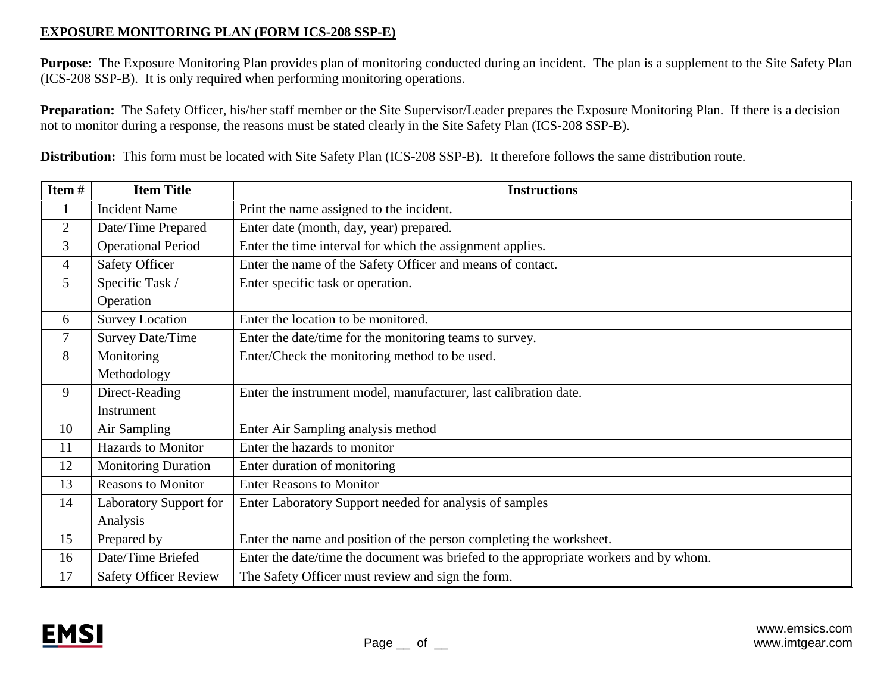#### **EXPOSURE MONITORING PLAN (FORM ICS-208 SSP-E)**

Purpose: The Exposure Monitoring Plan provides plan of monitoring conducted during an incident. The plan is a supplement to the Site Safety Plan (ICS-208 SSP-B). It is only required when performing monitoring operations.

**Preparation:** The Safety Officer, his/her staff member or the Site Supervisor/Leader prepares the Exposure Monitoring Plan. If there is a decision not to monitor during a response, the reasons must be stated clearly in the Site Safety Plan (ICS-208 SSP-B).

| Item#          | <b>Item Title</b>             | <b>Instructions</b>                                                                  |
|----------------|-------------------------------|--------------------------------------------------------------------------------------|
|                | <b>Incident Name</b>          | Print the name assigned to the incident.                                             |
| $\overline{2}$ | Date/Time Prepared            | Enter date (month, day, year) prepared.                                              |
| 3              | <b>Operational Period</b>     | Enter the time interval for which the assignment applies.                            |
| $\overline{4}$ | <b>Safety Officer</b>         | Enter the name of the Safety Officer and means of contact.                           |
| 5              | Specific Task /               | Enter specific task or operation.                                                    |
|                | Operation                     |                                                                                      |
| 6              | <b>Survey Location</b>        | Enter the location to be monitored.                                                  |
| 7              | <b>Survey Date/Time</b>       | Enter the date/time for the monitoring teams to survey.                              |
| 8              | Monitoring                    | Enter/Check the monitoring method to be used.                                        |
|                | Methodology                   |                                                                                      |
| 9              | Direct-Reading                | Enter the instrument model, manufacturer, last calibration date.                     |
|                | Instrument                    |                                                                                      |
| 10             | Air Sampling                  | Enter Air Sampling analysis method                                                   |
| 11             | <b>Hazards to Monitor</b>     | Enter the hazards to monitor                                                         |
| 12             | <b>Monitoring Duration</b>    | Enter duration of monitoring                                                         |
| 13             | <b>Reasons to Monitor</b>     | <b>Enter Reasons to Monitor</b>                                                      |
| 14             | <b>Laboratory Support for</b> | Enter Laboratory Support needed for analysis of samples                              |
|                | Analysis                      |                                                                                      |
| 15             | Prepared by                   | Enter the name and position of the person completing the worksheet.                  |
| 16             | Date/Time Briefed             | Enter the date/time the document was briefed to the appropriate workers and by whom. |
| 17             | <b>Safety Officer Review</b>  | The Safety Officer must review and sign the form.                                    |

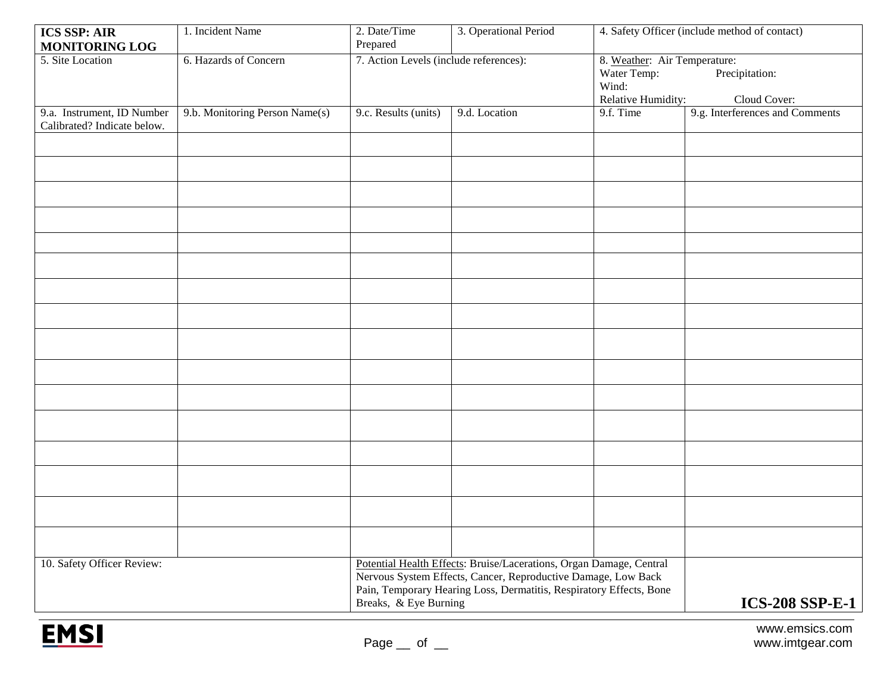| <b>ICS SSP: AIR</b><br><b>MONITORING LOG</b>              | 1. Incident Name               | 2. Date/Time<br>3. Operational Period<br>4. Safety Officer (include method of contact)<br>Prepared |                                                                                                                                                                                                             |                      |                                                                                      |  |
|-----------------------------------------------------------|--------------------------------|----------------------------------------------------------------------------------------------------|-------------------------------------------------------------------------------------------------------------------------------------------------------------------------------------------------------------|----------------------|--------------------------------------------------------------------------------------|--|
| 5. Site Location                                          | 6. Hazards of Concern          | 7. Action Levels (include references):                                                             |                                                                                                                                                                                                             | Water Temp:<br>Wind: | 8. Weather: Air Temperature:<br>Precipitation:<br>Relative Humidity:<br>Cloud Cover: |  |
| 9.a. Instrument, ID Number<br>Calibrated? Indicate below. | 9.b. Monitoring Person Name(s) | 9.c. Results (units)                                                                               | 9.d. Location                                                                                                                                                                                               | 9.f. Time            | 9.g. Interferences and Comments                                                      |  |
|                                                           |                                |                                                                                                    |                                                                                                                                                                                                             |                      |                                                                                      |  |
|                                                           |                                |                                                                                                    |                                                                                                                                                                                                             |                      |                                                                                      |  |
|                                                           |                                |                                                                                                    |                                                                                                                                                                                                             |                      |                                                                                      |  |
|                                                           |                                |                                                                                                    |                                                                                                                                                                                                             |                      |                                                                                      |  |
|                                                           |                                |                                                                                                    |                                                                                                                                                                                                             |                      |                                                                                      |  |
|                                                           |                                |                                                                                                    |                                                                                                                                                                                                             |                      |                                                                                      |  |
|                                                           |                                |                                                                                                    |                                                                                                                                                                                                             |                      |                                                                                      |  |
|                                                           |                                |                                                                                                    |                                                                                                                                                                                                             |                      |                                                                                      |  |
|                                                           |                                |                                                                                                    |                                                                                                                                                                                                             |                      |                                                                                      |  |
|                                                           |                                |                                                                                                    |                                                                                                                                                                                                             |                      |                                                                                      |  |
|                                                           |                                |                                                                                                    |                                                                                                                                                                                                             |                      |                                                                                      |  |
|                                                           |                                |                                                                                                    |                                                                                                                                                                                                             |                      |                                                                                      |  |
|                                                           |                                |                                                                                                    |                                                                                                                                                                                                             |                      |                                                                                      |  |
|                                                           |                                |                                                                                                    |                                                                                                                                                                                                             |                      |                                                                                      |  |
|                                                           |                                |                                                                                                    |                                                                                                                                                                                                             |                      |                                                                                      |  |
|                                                           |                                |                                                                                                    |                                                                                                                                                                                                             |                      |                                                                                      |  |
| 10. Safety Officer Review:                                |                                |                                                                                                    | Potential Health Effects: Bruise/Lacerations, Organ Damage, Central<br>Nervous System Effects, Cancer, Reproductive Damage, Low Back<br>Pain, Temporary Hearing Loss, Dermatitis, Respiratory Effects, Bone |                      | <b>ICS-208 SSP-E-1</b>                                                               |  |
|                                                           |                                | Breaks, & Eye Burning                                                                              |                                                                                                                                                                                                             |                      |                                                                                      |  |

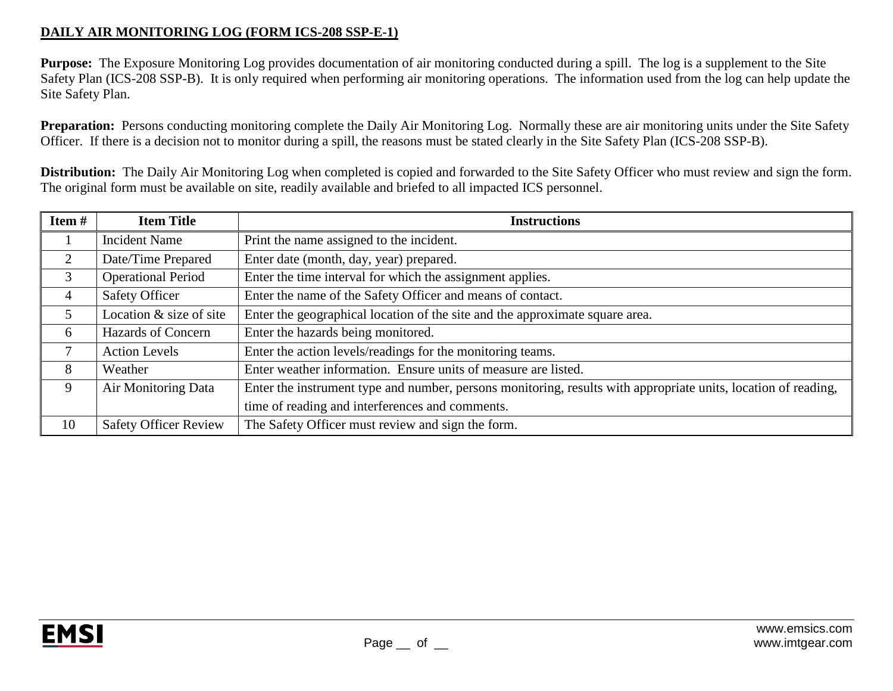#### **DAILY AIR MONITORING LOG (FORM ICS-208 SSP-E-1)**

Purpose: The Exposure Monitoring Log provides documentation of air monitoring conducted during a spill. The log is a supplement to the Site Safety Plan (ICS-208 SSP-B). It is only required when performing air monitoring operations. The information used from the log can help update the Site Safety Plan.

Preparation: Persons conducting monitoring complete the Daily Air Monitoring Log. Normally these are air monitoring units under the Site Safety Officer. If there is a decision not to monitor during a spill, the reasons must be stated clearly in the Site Safety Plan (ICS-208 SSP-B).

**Distribution:** The Daily Air Monitoring Log when completed is copied and forwarded to the Site Safety Officer who must review and sign the form. The original form must be available on site, readily available and briefed to all impacted ICS personnel.

| Item#           | <b>Item Title</b>            | <b>Instructions</b>                                                                                            |
|-----------------|------------------------------|----------------------------------------------------------------------------------------------------------------|
|                 | <b>Incident Name</b>         | Print the name assigned to the incident.                                                                       |
| 2               | Date/Time Prepared           | Enter date (month, day, year) prepared.                                                                        |
| $\mathfrak{Z}$  | <b>Operational Period</b>    | Enter the time interval for which the assignment applies.                                                      |
| $\overline{4}$  | <b>Safety Officer</b>        | Enter the name of the Safety Officer and means of contact.                                                     |
| $5\overline{)}$ | Location & size of site      | Enter the geographical location of the site and the approximate square area.                                   |
| 6               | <b>Hazards of Concern</b>    | Enter the hazards being monitored.                                                                             |
|                 | <b>Action Levels</b>         | Enter the action levels/readings for the monitoring teams.                                                     |
| 8               | Weather                      | Enter weather information. Ensure units of measure are listed.                                                 |
| 9               | Air Monitoring Data          | Enter the instrument type and number, persons monitoring, results with appropriate units, location of reading, |
|                 |                              | time of reading and interferences and comments.                                                                |
| 10              | <b>Safety Officer Review</b> | The Safety Officer must review and sign the form.                                                              |

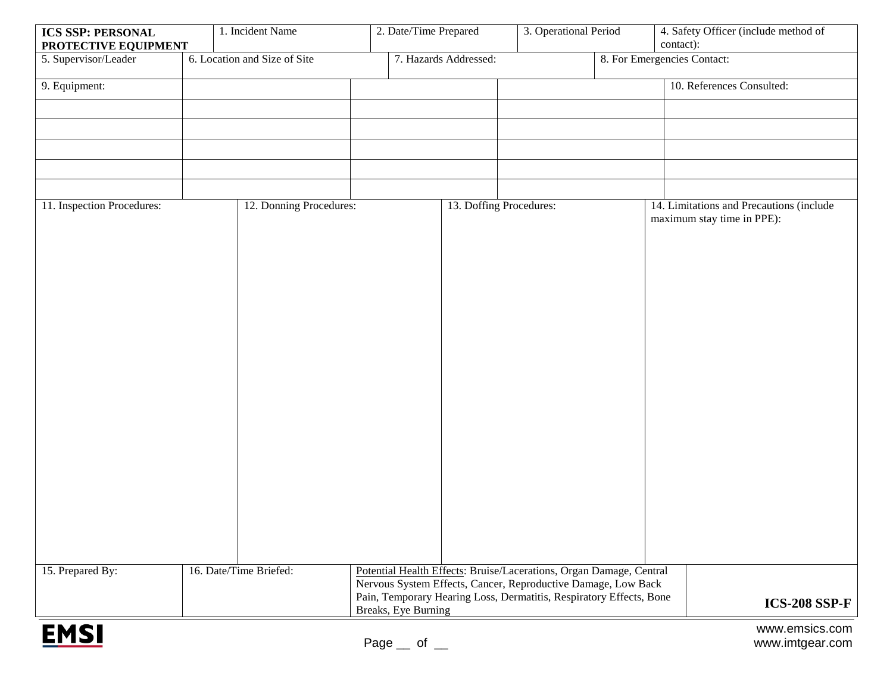| <b>ICS SSP: PERSONAL</b><br>PROTECTIVE EQUIPMENT | 1. Incident Name             |                       | 2. Date/Time Prepared |                         | 3. Operational Period                                                                                                                |  | 4. Safety Officer (include method of<br>contact):                      |
|--------------------------------------------------|------------------------------|-----------------------|-----------------------|-------------------------|--------------------------------------------------------------------------------------------------------------------------------------|--|------------------------------------------------------------------------|
| 5. Supervisor/Leader                             | 6. Location and Size of Site | 7. Hazards Addressed: |                       |                         | 8. For Emergencies Contact:                                                                                                          |  |                                                                        |
| 9. Equipment:                                    |                              |                       |                       |                         |                                                                                                                                      |  | 10. References Consulted:                                              |
|                                                  |                              |                       |                       |                         |                                                                                                                                      |  |                                                                        |
|                                                  |                              |                       |                       |                         |                                                                                                                                      |  |                                                                        |
|                                                  |                              |                       |                       |                         |                                                                                                                                      |  |                                                                        |
|                                                  |                              |                       |                       |                         |                                                                                                                                      |  |                                                                        |
| 11. Inspection Procedures:                       | 12. Donning Procedures:      |                       |                       | 13. Doffing Procedures: |                                                                                                                                      |  | 14. Limitations and Precautions (include<br>maximum stay time in PPE): |
|                                                  |                              |                       |                       |                         |                                                                                                                                      |  |                                                                        |
|                                                  |                              |                       |                       |                         |                                                                                                                                      |  |                                                                        |
| 15. Prepared By:                                 | 16. Date/Time Briefed:       |                       |                       |                         | Potential Health Effects: Bruise/Lacerations, Organ Damage, Central<br>Nervous System Effects, Cancer, Reproductive Damage, Low Back |  |                                                                        |
|                                                  |                              |                       | Breaks, Eye Burning   |                         | Pain, Temporary Hearing Loss, Dermatitis, Respiratory Effects, Bone                                                                  |  | <b>ICS-208 SSP-F</b>                                                   |

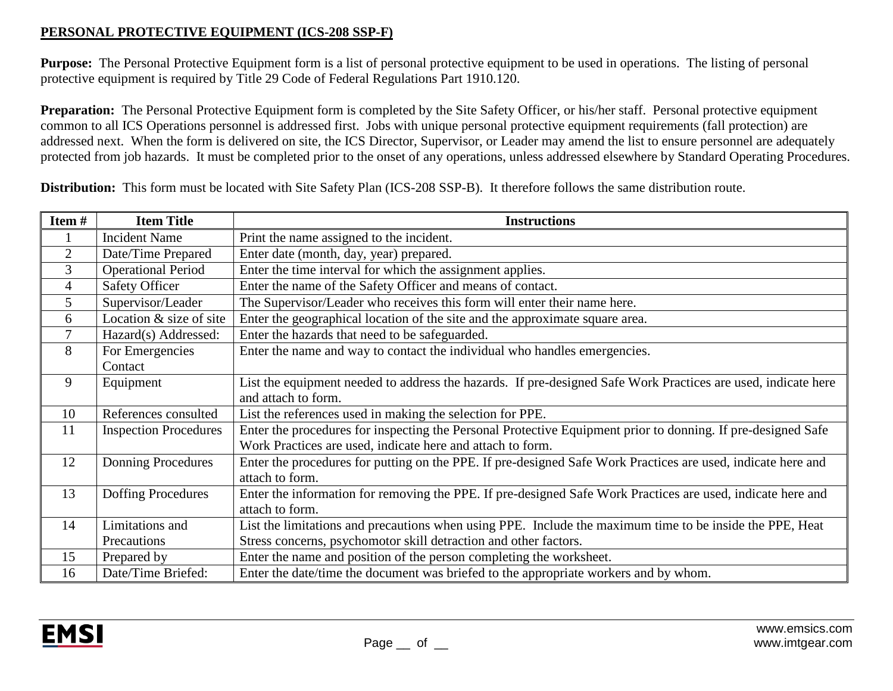#### **PERSONAL PROTECTIVE EQUIPMENT (ICS-208 SSP-F)**

**Purpose:** The Personal Protective Equipment form is a list of personal protective equipment to be used in operations. The listing of personal protective equipment is required by Title 29 Code of Federal Regulations Part 1910.120.

**Preparation:** The Personal Protective Equipment form is completed by the Site Safety Officer, or his/her staff. Personal protective equipment common to all ICS Operations personnel is addressed first. Jobs with unique personal protective equipment requirements (fall protection) are addressed next. When the form is delivered on site, the ICS Director, Supervisor, or Leader may amend the list to ensure personnel are adequately protected from job hazards. It must be completed prior to the onset of any operations, unless addressed elsewhere by Standard Operating Procedures.

| Item#          | <b>Item Title</b>            | <b>Instructions</b>                                                                                           |
|----------------|------------------------------|---------------------------------------------------------------------------------------------------------------|
|                | <b>Incident Name</b>         | Print the name assigned to the incident.                                                                      |
| $\overline{2}$ | Date/Time Prepared           | Enter date (month, day, year) prepared.                                                                       |
| 3              | <b>Operational Period</b>    | Enter the time interval for which the assignment applies.                                                     |
| $\overline{4}$ | <b>Safety Officer</b>        | Enter the name of the Safety Officer and means of contact.                                                    |
| 5              | Supervisor/Leader            | The Supervisor/Leader who receives this form will enter their name here.                                      |
| 6              | Location & size of site      | Enter the geographical location of the site and the approximate square area.                                  |
| $\overline{7}$ | Hazard(s) Addressed:         | Enter the hazards that need to be safeguarded.                                                                |
| 8              | For Emergencies              | Enter the name and way to contact the individual who handles emergencies.                                     |
|                | Contact                      |                                                                                                               |
| 9              | Equipment                    | List the equipment needed to address the hazards. If pre-designed Safe Work Practices are used, indicate here |
|                |                              | and attach to form.                                                                                           |
| 10             | References consulted         | List the references used in making the selection for PPE.                                                     |
| 11             | <b>Inspection Procedures</b> | Enter the procedures for inspecting the Personal Protective Equipment prior to donning. If pre-designed Safe  |
|                |                              | Work Practices are used, indicate here and attach to form.                                                    |
| 12             | <b>Donning Procedures</b>    | Enter the procedures for putting on the PPE. If pre-designed Safe Work Practices are used, indicate here and  |
|                |                              | attach to form.                                                                                               |
| 13             | Doffing Procedures           | Enter the information for removing the PPE. If pre-designed Safe Work Practices are used, indicate here and   |
|                |                              | attach to form.                                                                                               |
| 14             | Limitations and              | List the limitations and precautions when using PPE. Include the maximum time to be inside the PPE, Heat      |
|                | Precautions                  | Stress concerns, psychomotor skill detraction and other factors.                                              |
| 15             | Prepared by                  | Enter the name and position of the person completing the worksheet.                                           |
| 16             | Date/Time Briefed:           | Enter the date/time the document was briefed to the appropriate workers and by whom.                          |

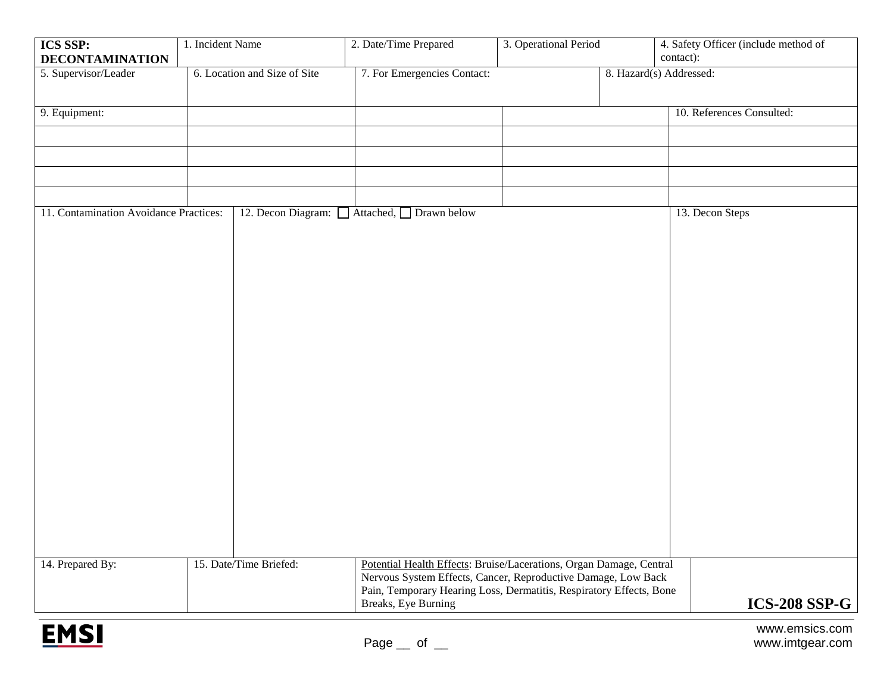| <b>ICS SSP:</b><br><b>DECONTAMINATION</b> | 1. Incident Name             | 2. Date/Time Prepared                                                                                                                | 3. Operational Period | contact): | 4. Safety Officer (include method of |  |
|-------------------------------------------|------------------------------|--------------------------------------------------------------------------------------------------------------------------------------|-----------------------|-----------|--------------------------------------|--|
| 5. Supervisor/Leader                      | 6. Location and Size of Site | 7. For Emergencies Contact:                                                                                                          |                       |           | 8. Hazard(s) Addressed:              |  |
| 9. Equipment:                             |                              |                                                                                                                                      |                       |           | 10. References Consulted:            |  |
|                                           |                              |                                                                                                                                      |                       |           |                                      |  |
|                                           |                              |                                                                                                                                      |                       |           |                                      |  |
|                                           |                              |                                                                                                                                      |                       |           |                                      |  |
|                                           |                              |                                                                                                                                      |                       |           |                                      |  |
| 11. Contamination Avoidance Practices:    |                              | 12. Decon Diagram: Attached, Drawn below                                                                                             |                       |           | 13. Decon Steps                      |  |
|                                           |                              |                                                                                                                                      |                       |           |                                      |  |
|                                           |                              |                                                                                                                                      |                       |           |                                      |  |
|                                           |                              |                                                                                                                                      |                       |           |                                      |  |
|                                           |                              |                                                                                                                                      |                       |           |                                      |  |
|                                           |                              |                                                                                                                                      |                       |           |                                      |  |
|                                           |                              |                                                                                                                                      |                       |           |                                      |  |
|                                           |                              |                                                                                                                                      |                       |           |                                      |  |
|                                           |                              |                                                                                                                                      |                       |           |                                      |  |
|                                           |                              |                                                                                                                                      |                       |           |                                      |  |
|                                           |                              |                                                                                                                                      |                       |           |                                      |  |
|                                           |                              |                                                                                                                                      |                       |           |                                      |  |
|                                           |                              |                                                                                                                                      |                       |           |                                      |  |
|                                           |                              |                                                                                                                                      |                       |           |                                      |  |
|                                           |                              |                                                                                                                                      |                       |           |                                      |  |
|                                           |                              |                                                                                                                                      |                       |           |                                      |  |
| 14. Prepared By:                          | 15. Date/Time Briefed:       | Potential Health Effects: Bruise/Lacerations, Organ Damage, Central<br>Nervous System Effects, Cancer, Reproductive Damage, Low Back |                       |           |                                      |  |
|                                           |                              | Pain, Temporary Hearing Loss, Dermatitis, Respiratory Effects, Bone                                                                  |                       |           |                                      |  |
|                                           |                              | Breaks, Eye Burning                                                                                                                  |                       |           | <b>ICS-208 SSP-G</b>                 |  |

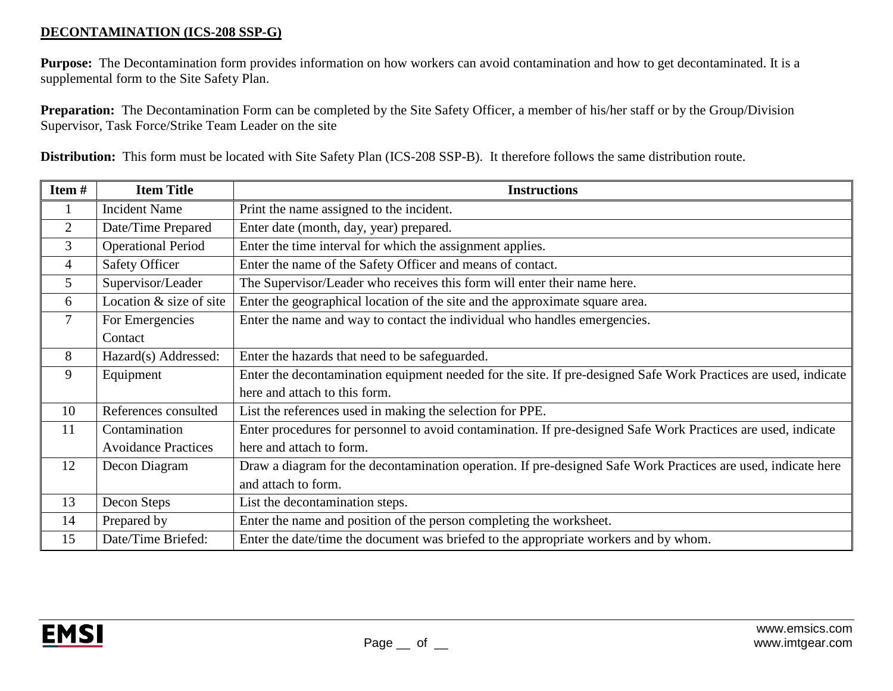#### **DECONTAMINATION (ICS-208 SSP-G)**

**Purpose:** The Decontamination form provides information on how workers can avoid contamination and how to get decontaminated. It is a supplemental form to the Site Safety Plan.

**Preparation:** The Decontamination Form can be completed by the Site Safety Officer, a member of his/her staff or by the Group/Division Supervisor, Task Force/Strike Team Leader on the site

| Item#          | <b>Item Title</b>          | <b>Instructions</b>                                                                                             |
|----------------|----------------------------|-----------------------------------------------------------------------------------------------------------------|
|                | <b>Incident Name</b>       | Print the name assigned to the incident.                                                                        |
| $\overline{2}$ | Date/Time Prepared         | Enter date (month, day, year) prepared.                                                                         |
| 3              | <b>Operational Period</b>  | Enter the time interval for which the assignment applies.                                                       |
| 4              | <b>Safety Officer</b>      | Enter the name of the Safety Officer and means of contact.                                                      |
| 5              | Supervisor/Leader          | The Supervisor/Leader who receives this form will enter their name here.                                        |
| 6              | Location & size of site    | Enter the geographical location of the site and the approximate square area.                                    |
| 7              | For Emergencies            | Enter the name and way to contact the individual who handles emergencies.                                       |
|                | Contact                    |                                                                                                                 |
| 8              | Hazard(s) Addressed:       | Enter the hazards that need to be safeguarded.                                                                  |
| 9              | Equipment                  | Enter the decontamination equipment needed for the site. If pre-designed Safe Work Practices are used, indicate |
|                |                            | here and attach to this form.                                                                                   |
| 10             | References consulted       | List the references used in making the selection for PPE.                                                       |
| 11             | Contamination              | Enter procedures for personnel to avoid contamination. If pre-designed Safe Work Practices are used, indicate   |
|                | <b>Avoidance Practices</b> | here and attach to form.                                                                                        |
| 12             | Decon Diagram              | Draw a diagram for the decontamination operation. If pre-designed Safe Work Practices are used, indicate here   |
|                |                            | and attach to form.                                                                                             |
| 13             | Decon Steps                | List the decontamination steps.                                                                                 |
| 14             | Prepared by                | Enter the name and position of the person completing the worksheet.                                             |
| 15             | Date/Time Briefed:         | Enter the date/time the document was briefed to the appropriate workers and by whom.                            |

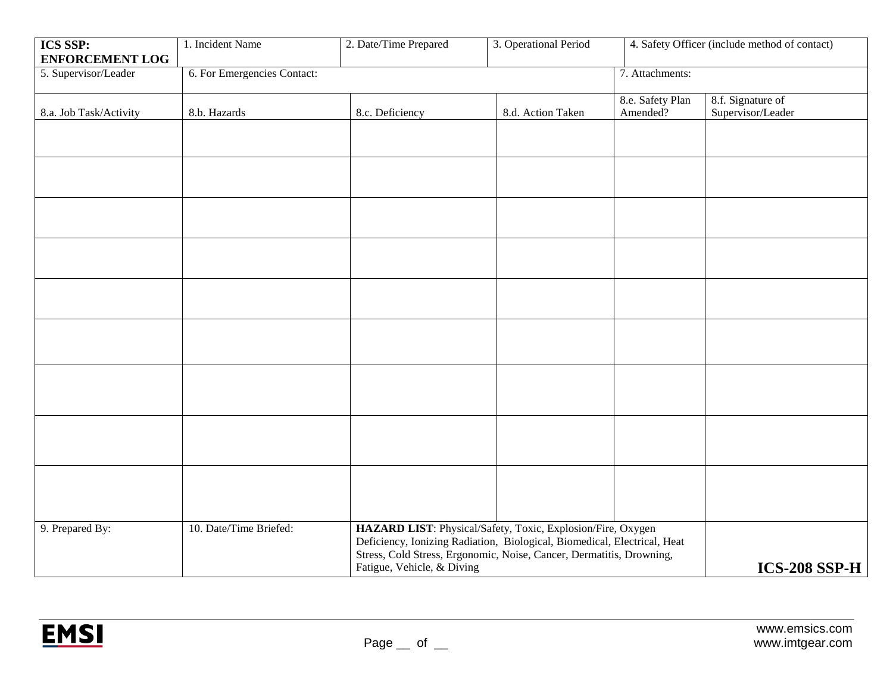| <b>ICS SSP:</b><br><b>ENFORCEMENT LOG</b> | 1. Incident Name            | 2. Date/Time Prepared      | 3. Operational Period                                                                                                                                                                                           |                              | 4. Safety Officer (include method of contact) |  |
|-------------------------------------------|-----------------------------|----------------------------|-----------------------------------------------------------------------------------------------------------------------------------------------------------------------------------------------------------------|------------------------------|-----------------------------------------------|--|
| 5. Supervisor/Leader                      | 6. For Emergencies Contact: |                            |                                                                                                                                                                                                                 | 7. Attachments:              |                                               |  |
| 8.a. Job Task/Activity                    | 8.b. Hazards                | 8.c. Deficiency            | 8.d. Action Taken                                                                                                                                                                                               | 8.e. Safety Plan<br>Amended? | 8.f. Signature of<br>Supervisor/Leader        |  |
|                                           |                             |                            |                                                                                                                                                                                                                 |                              |                                               |  |
|                                           |                             |                            |                                                                                                                                                                                                                 |                              |                                               |  |
|                                           |                             |                            |                                                                                                                                                                                                                 |                              |                                               |  |
|                                           |                             |                            |                                                                                                                                                                                                                 |                              |                                               |  |
|                                           |                             |                            |                                                                                                                                                                                                                 |                              |                                               |  |
|                                           |                             |                            |                                                                                                                                                                                                                 |                              |                                               |  |
|                                           |                             |                            |                                                                                                                                                                                                                 |                              |                                               |  |
|                                           |                             |                            |                                                                                                                                                                                                                 |                              |                                               |  |
|                                           |                             |                            |                                                                                                                                                                                                                 |                              |                                               |  |
| 9. Prepared By:                           | 10. Date/Time Briefed:      | Fatigue, Vehicle, & Diving | HAZARD LIST: Physical/Safety, Toxic, Explosion/Fire, Oxygen<br>Deficiency, Ionizing Radiation, Biological, Biomedical, Electrical, Heat<br>Stress, Cold Stress, Ergonomic, Noise, Cancer, Dermatitis, Drowning, |                              | <b>ICS-208 SSP-H</b>                          |  |

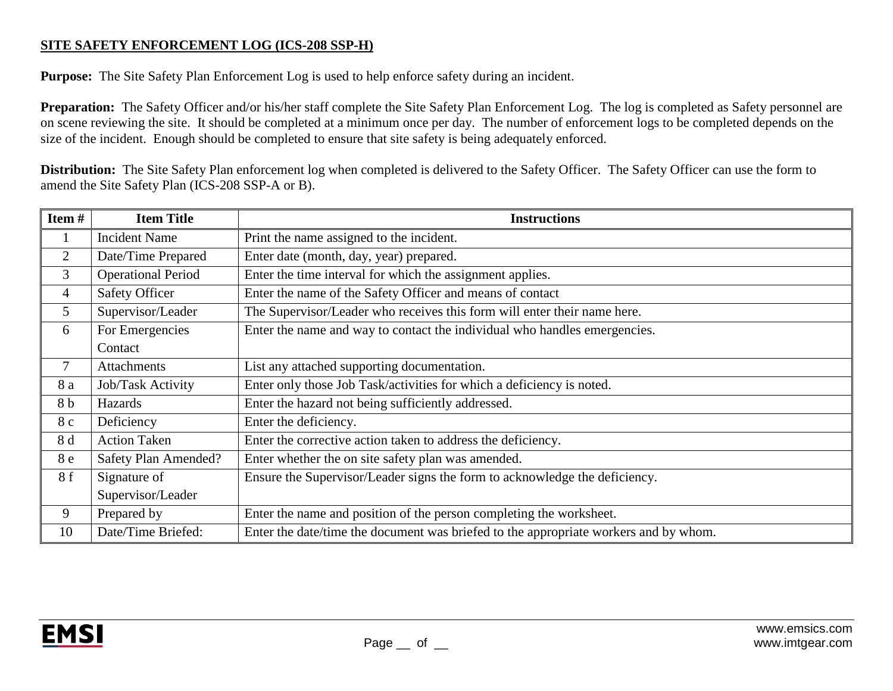### **SITE SAFETY ENFORCEMENT LOG (ICS-208 SSP-H)**

**Purpose:** The Site Safety Plan Enforcement Log is used to help enforce safety during an incident.

**Preparation:** The Safety Officer and/or his/her staff complete the Site Safety Plan Enforcement Log. The log is completed as Safety personnel are on scene reviewing the site. It should be completed at a minimum once per day. The number of enforcement logs to be completed depends on the size of the incident. Enough should be completed to ensure that site safety is being adequately enforced.

**Distribution:** The Site Safety Plan enforcement log when completed is delivered to the Safety Officer. The Safety Officer can use the form to amend the Site Safety Plan (ICS-208 SSP-A or B).

| Item#          | <b>Item Title</b>         | <b>Instructions</b>                                                                  |
|----------------|---------------------------|--------------------------------------------------------------------------------------|
|                | <b>Incident Name</b>      | Print the name assigned to the incident.                                             |
| $\overline{2}$ | Date/Time Prepared        | Enter date (month, day, year) prepared.                                              |
| 3              | <b>Operational Period</b> | Enter the time interval for which the assignment applies.                            |
| $\overline{4}$ | <b>Safety Officer</b>     | Enter the name of the Safety Officer and means of contact                            |
| 5              | Supervisor/Leader         | The Supervisor/Leader who receives this form will enter their name here.             |
| 6              | For Emergencies           | Enter the name and way to contact the individual who handles emergencies.            |
|                | Contact                   |                                                                                      |
| 7              | Attachments               | List any attached supporting documentation.                                          |
| 8 a            | Job/Task Activity         | Enter only those Job Task/activities for which a deficiency is noted.                |
| 8 b            | Hazards                   | Enter the hazard not being sufficiently addressed.                                   |
| 8c             | Deficiency                | Enter the deficiency.                                                                |
| 8 d            | <b>Action Taken</b>       | Enter the corrective action taken to address the deficiency.                         |
| 8 e            | Safety Plan Amended?      | Enter whether the on site safety plan was amended.                                   |
| 8 f            | Signature of              | Ensure the Supervisor/Leader signs the form to acknowledge the deficiency.           |
|                | Supervisor/Leader         |                                                                                      |
| 9              | Prepared by               | Enter the name and position of the person completing the worksheet.                  |
| 10             | Date/Time Briefed:        | Enter the date/time the document was briefed to the appropriate workers and by whom. |

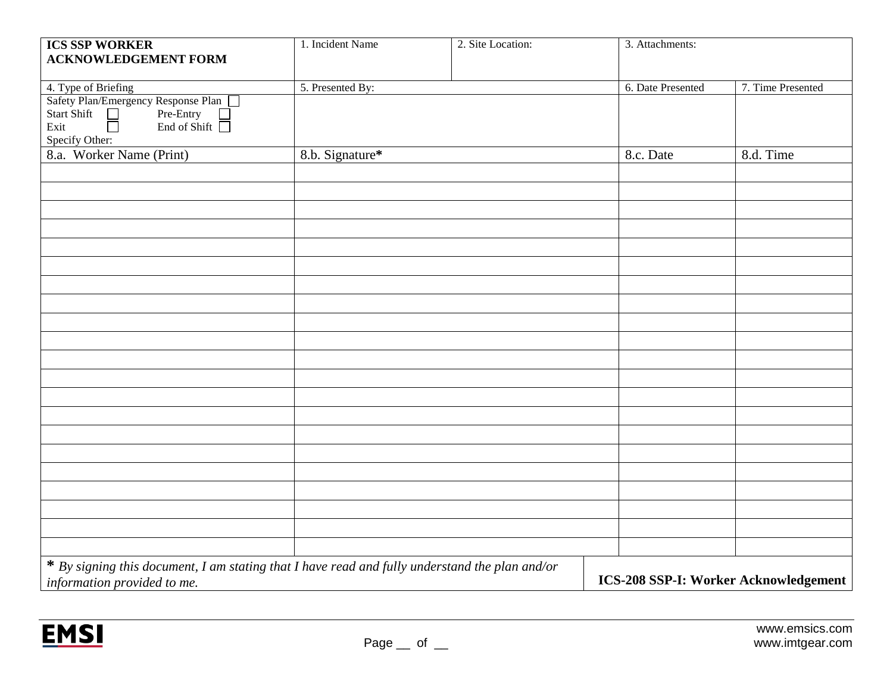| <b>ICS SSP WORKER</b><br><b>ACKNOWLEDGEMENT FORM</b>                                                                                           | 1. Incident Name | 2. Site Location: | 3. Attachments:   |                                              |
|------------------------------------------------------------------------------------------------------------------------------------------------|------------------|-------------------|-------------------|----------------------------------------------|
| 4. Type of Briefing                                                                                                                            | 5. Presented By: |                   | 6. Date Presented | 7. Time Presented                            |
| Safety Plan/Emergency Response Plan<br>$\Box$<br>Start Shift<br>Pre-Entry<br>$\Box$<br>End of Shift $\Box$<br>Exit<br>$\Box$<br>Specify Other: |                  |                   |                   |                                              |
| 8.a. Worker Name (Print)                                                                                                                       | 8.b. Signature*  |                   | 8.c. Date         | 8.d. Time                                    |
|                                                                                                                                                |                  |                   |                   |                                              |
|                                                                                                                                                |                  |                   |                   |                                              |
|                                                                                                                                                |                  |                   |                   |                                              |
|                                                                                                                                                |                  |                   |                   |                                              |
|                                                                                                                                                |                  |                   |                   |                                              |
|                                                                                                                                                |                  |                   |                   |                                              |
|                                                                                                                                                |                  |                   |                   |                                              |
|                                                                                                                                                |                  |                   |                   |                                              |
|                                                                                                                                                |                  |                   |                   |                                              |
|                                                                                                                                                |                  |                   |                   |                                              |
|                                                                                                                                                |                  |                   |                   |                                              |
|                                                                                                                                                |                  |                   |                   |                                              |
|                                                                                                                                                |                  |                   |                   |                                              |
|                                                                                                                                                |                  |                   |                   |                                              |
|                                                                                                                                                |                  |                   |                   |                                              |
|                                                                                                                                                |                  |                   |                   |                                              |
|                                                                                                                                                |                  |                   |                   |                                              |
|                                                                                                                                                |                  |                   |                   |                                              |
|                                                                                                                                                |                  |                   |                   |                                              |
|                                                                                                                                                |                  |                   |                   |                                              |
|                                                                                                                                                |                  |                   |                   |                                              |
| * By signing this document, I am stating that I have read and fully understand the plan and/or<br>information provided to me.                  |                  |                   |                   | <b>ICS-208 SSP-I: Worker Acknowledgement</b> |

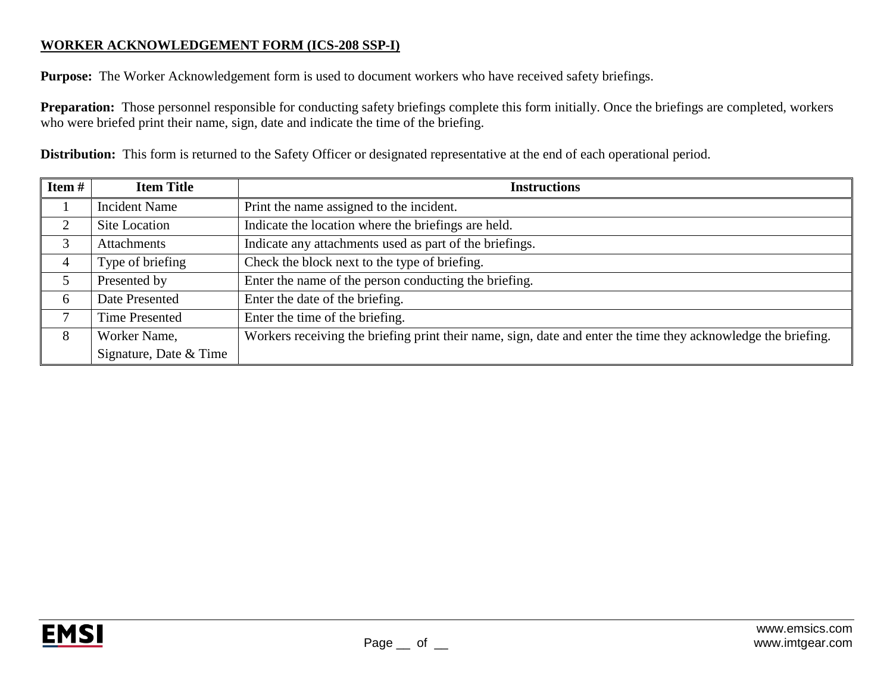### **WORKER ACKNOWLEDGEMENT FORM (ICS-208 SSP-I)**

**Purpose:** The Worker Acknowledgement form is used to document workers who have received safety briefings.

Preparation: Those personnel responsible for conducting safety briefings complete this form initially. Once the briefings are completed, workers who were briefed print their name, sign, date and indicate the time of the briefing.

| Item# | <b>Item Title</b>      | <b>Instructions</b>                                                                                           |
|-------|------------------------|---------------------------------------------------------------------------------------------------------------|
|       | <b>Incident Name</b>   | Print the name assigned to the incident.                                                                      |
| 2     | Site Location          | Indicate the location where the briefings are held.                                                           |
| 3     | <b>Attachments</b>     | Indicate any attachments used as part of the briefings.                                                       |
| 4     | Type of briefing       | Check the block next to the type of briefing.                                                                 |
| 5     | Presented by           | Enter the name of the person conducting the briefing.                                                         |
| 6     | Date Presented         | Enter the date of the briefing.                                                                               |
| −     | <b>Time Presented</b>  | Enter the time of the briefing.                                                                               |
| 8     | Worker Name,           | Workers receiving the briefing print their name, sign, date and enter the time they acknowledge the briefing. |
|       | Signature, Date & Time |                                                                                                               |

**Distribution:** This form is returned to the Safety Officer or designated representative at the end of each operational period.

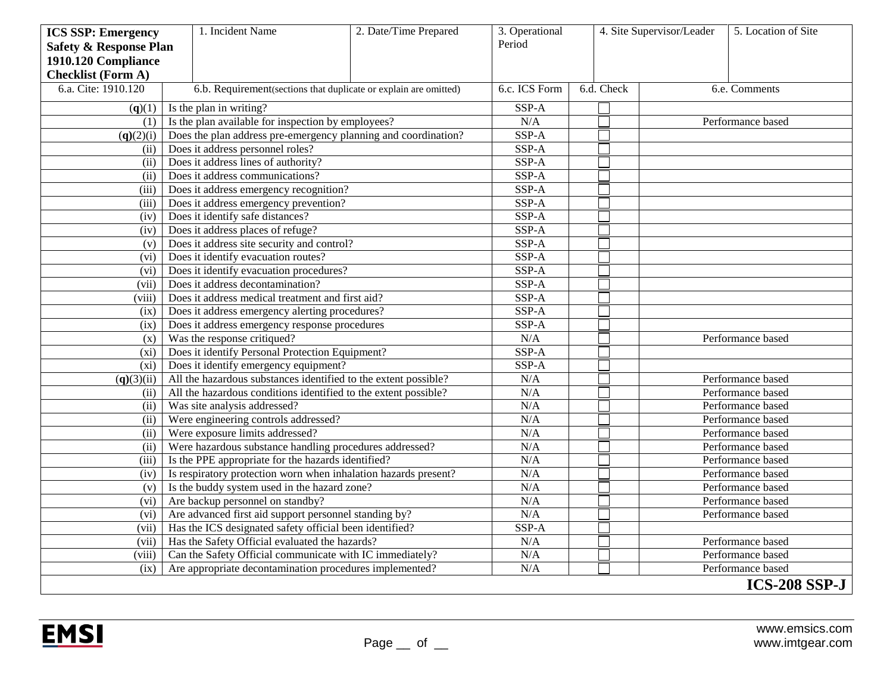| <b>ICS SSP: Emergency</b>         | 1. Incident Name                                                  | 2. Date/Time Prepared | 3. Operational                       | 4. Site Supervisor/Leader |  | 5. Location of Site  |
|-----------------------------------|-------------------------------------------------------------------|-----------------------|--------------------------------------|---------------------------|--|----------------------|
| <b>Safety &amp; Response Plan</b> |                                                                   |                       | Period                               |                           |  |                      |
| 1910.120 Compliance               |                                                                   |                       |                                      |                           |  |                      |
| <b>Checklist (Form A)</b>         |                                                                   |                       |                                      |                           |  |                      |
| 6.a. Cite: 1910.120               | 6.b. Requirement (sections that duplicate or explain are omitted) |                       | 6.c. ICS Form                        | 6.d. Check                |  | 6.e. Comments        |
| (q)(1)                            | Is the plan in writing?                                           |                       | SSP-A                                |                           |  |                      |
|                                   | $(1)$ Is the plan available for inspection by employees?          |                       | N/A                                  |                           |  | Performance based    |
| (q)(2)(i)                         | Does the plan address pre-emergency planning and coordination?    |                       | SSP-A                                |                           |  |                      |
| (ii)                              | Does it address personnel roles?                                  |                       | SSP-A                                |                           |  |                      |
| (ii)                              | Does it address lines of authority?                               |                       | SSP-A                                |                           |  |                      |
| (ii)                              | Does it address communications?                                   |                       | SSP-A                                |                           |  |                      |
| (iii)                             | Does it address emergency recognition?                            |                       | SSP-A                                |                           |  |                      |
| (iii)                             | Does it address emergency prevention?                             |                       | SSP-A                                |                           |  |                      |
| (iv)                              | Does it identify safe distances?                                  |                       | $\ensuremath{\mathsf{SSP\text{-}A}}$ |                           |  |                      |
| (iv)                              | Does it address places of refuge?                                 |                       | SSP-A                                |                           |  |                      |
| (v)                               | Does it address site security and control?                        |                       | SSP-A                                |                           |  |                      |
| (vi)                              | Does it identify evacuation routes?                               |                       | SSP-A                                |                           |  |                      |
| (vi)                              | Does it identify evacuation procedures?                           |                       | SSP-A                                |                           |  |                      |
| (vii)                             | Does it address decontamination?                                  |                       | SSP-A                                |                           |  |                      |
| (viii)                            | Does it address medical treatment and first aid?                  |                       | SSP-A                                |                           |  |                      |
| (ix)                              | Does it address emergency alerting procedures?                    |                       | SSP-A                                |                           |  |                      |
| (ix)                              | Does it address emergency response procedures                     |                       | SSP-A                                |                           |  |                      |
| (x)                               | Was the response critiqued?                                       |                       | $\rm N/A$                            |                           |  | Performance based    |
| (xi)                              | Does it identify Personal Protection Equipment?                   |                       | SSP-A                                |                           |  |                      |
| (xi)                              | Does it identify emergency equipment?                             |                       | SSP-A                                |                           |  |                      |
| (q)(3)(ii)                        | All the hazardous substances identified to the extent possible?   |                       | N/A                                  |                           |  | Performance based    |
| (ii)                              | All the hazardous conditions identified to the extent possible?   |                       | N/A                                  |                           |  | Performance based    |
| (ii)                              | Was site analysis addressed?                                      |                       | N/A                                  |                           |  | Performance based    |
| (ii)                              | Were engineering controls addressed?                              |                       | N/A                                  |                           |  | Performance based    |
| (ii)                              | Were exposure limits addressed?                                   |                       | N/A                                  |                           |  | Performance based    |
| (ii)                              | Were hazardous substance handling procedures addressed?           |                       | N/A                                  |                           |  | Performance based    |
| (iii)                             | Is the PPE appropriate for the hazards identified?                |                       | $\rm N/A$                            |                           |  | Performance based    |
| (iv)                              | Is respiratory protection worn when inhalation hazards present?   |                       | N/A                                  |                           |  | Performance based    |
| (v)                               | Is the buddy system used in the hazard zone?                      |                       | N/A                                  |                           |  | Performance based    |
| (vi)                              | Are backup personnel on standby?                                  |                       | N/A                                  |                           |  | Performance based    |
| (vi)                              | Are advanced first aid support personnel standing by?             |                       | N/A                                  |                           |  | Performance based    |
| (vii)                             | Has the ICS designated safety official been identified?           |                       | SSP-A                                |                           |  |                      |
| (vii)                             | Has the Safety Official evaluated the hazards?                    |                       | N/A                                  |                           |  | Performance based    |
| (viii)                            | Can the Safety Official communicate with IC immediately?          |                       | N/A                                  |                           |  | Performance based    |
| (ix)                              | Are appropriate decontamination procedures implemented?           |                       | N/A                                  |                           |  | Performance based    |
|                                   |                                                                   |                       |                                      |                           |  | <b>ICS-208 SSP-J</b> |

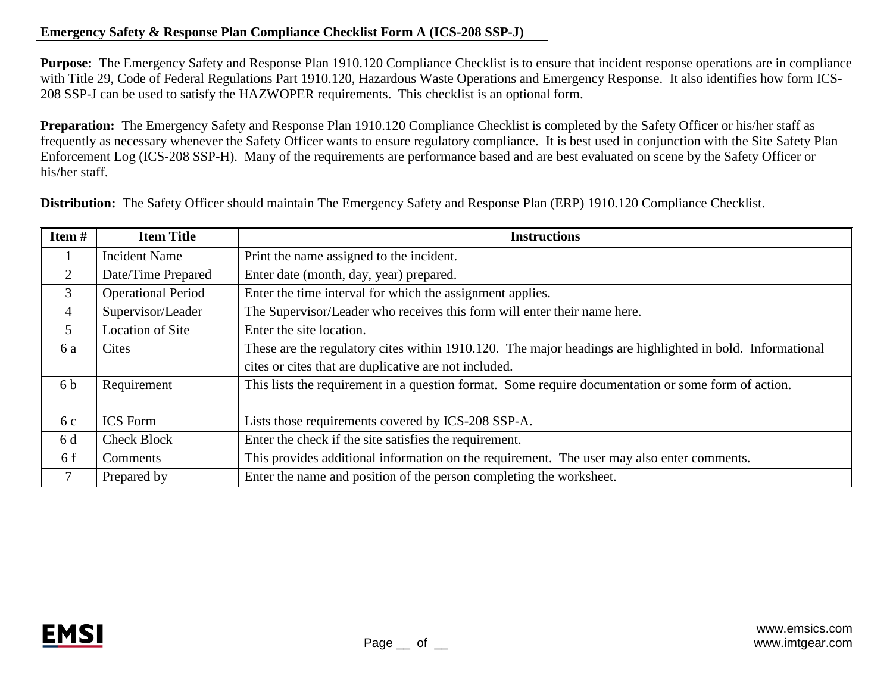#### **Emergency Safety & Response Plan Compliance Checklist Form A (ICS-208 SSP-J)**

**Purpose:** The Emergency Safety and Response Plan 1910.120 Compliance Checklist is to ensure that incident response operations are in compliance with Title 29, Code of Federal Regulations Part 1910.120, Hazardous Waste Operations and Emergency Response. It also identifies how form ICS-208 SSP-J can be used to satisfy the HAZWOPER requirements. This checklist is an optional form.

**Preparation:** The Emergency Safety and Response Plan 1910.120 Compliance Checklist is completed by the Safety Officer or his/her staff as frequently as necessary whenever the Safety Officer wants to ensure regulatory compliance. It is best used in conjunction with the Site Safety Plan Enforcement Log (ICS-208 SSP-H). Many of the requirements are performance based and are best evaluated on scene by the Safety Officer or his/her staff.

| Item $#$       | <b>Item Title</b>         | <b>Instructions</b>                                                                                       |
|----------------|---------------------------|-----------------------------------------------------------------------------------------------------------|
|                | <b>Incident Name</b>      | Print the name assigned to the incident.                                                                  |
| $\overline{2}$ | Date/Time Prepared        | Enter date (month, day, year) prepared.                                                                   |
| 3              | <b>Operational Period</b> | Enter the time interval for which the assignment applies.                                                 |
| $\overline{4}$ | Supervisor/Leader         | The Supervisor/Leader who receives this form will enter their name here.                                  |
| 5              | <b>Location of Site</b>   | Enter the site location.                                                                                  |
| 6 a            | Cites                     | These are the regulatory cites within 1910.120. The major headings are highlighted in bold. Informational |
|                |                           | cites or cites that are duplicative are not included.                                                     |
| 6 b            | Requirement               | This lists the requirement in a question format. Some require documentation or some form of action.       |
|                |                           |                                                                                                           |
| 6c             | <b>ICS</b> Form           | Lists those requirements covered by ICS-208 SSP-A.                                                        |
| 6 d            | <b>Check Block</b>        | Enter the check if the site satisfies the requirement.                                                    |
| 6f             | Comments                  | This provides additional information on the requirement. The user may also enter comments.                |
|                | Prepared by               | Enter the name and position of the person completing the worksheet.                                       |

**Distribution:** The Safety Officer should maintain The Emergency Safety and Response Plan (ERP) 1910.120 Compliance Checklist.

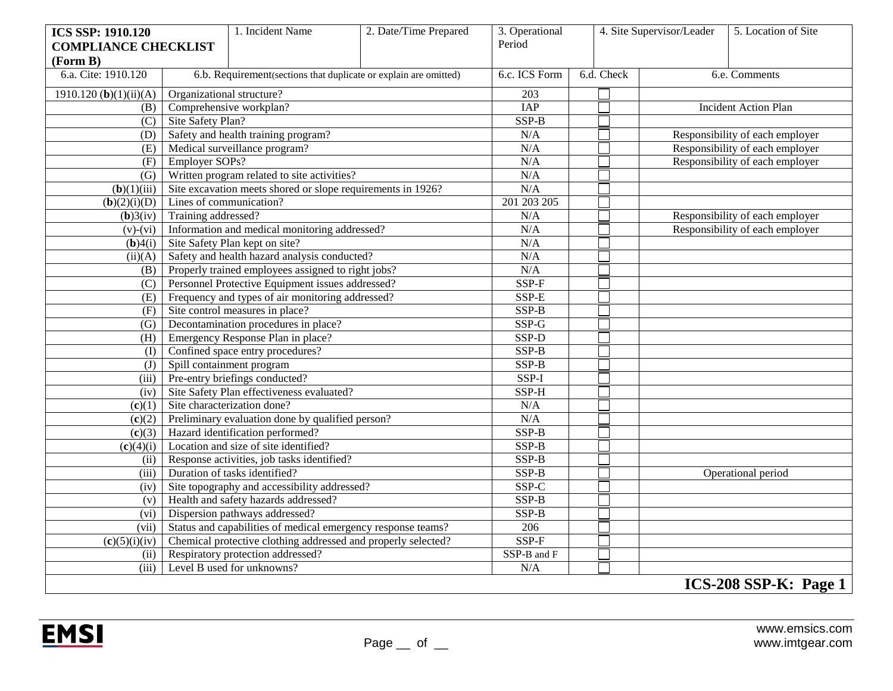| <b>ICS SSP: 1910.120</b>        |                                                              | 1. Incident Name                                                 | 2. Date/Time Prepared | 3. Operational<br>4. Site Supervisor/Leader |  |            | 5. Location of Site             |                                 |
|---------------------------------|--------------------------------------------------------------|------------------------------------------------------------------|-----------------------|---------------------------------------------|--|------------|---------------------------------|---------------------------------|
| <b>COMPLIANCE CHECKLIST</b>     |                                                              |                                                                  |                       | Period                                      |  |            |                                 |                                 |
| (Form B)                        |                                                              |                                                                  |                       |                                             |  |            |                                 |                                 |
| 6.a. Cite: 1910.120             |                                                              | 6.b. Requirement(sections that duplicate or explain are omitted) |                       | 6.c. ICS Form                               |  | 6.d. Check |                                 | 6.e. Comments                   |
| 1910.120 ( <b>b</b> )(1)(ii)(A) | Organizational structure?                                    |                                                                  |                       | 203                                         |  |            |                                 |                                 |
| (B)                             |                                                              | Comprehensive workplan?                                          |                       | <b>IAP</b>                                  |  |            |                                 | <b>Incident Action Plan</b>     |
| (C)                             | Site Safety Plan?                                            |                                                                  |                       | SSP-B                                       |  |            |                                 |                                 |
| (D)                             |                                                              | Safety and health training program?                              |                       | N/A                                         |  |            |                                 | Responsibility of each employer |
| (E)                             |                                                              | Medical surveillance program?                                    | N/A                   |                                             |  |            | Responsibility of each employer |                                 |
| (F)                             | <b>Employer SOPs?</b>                                        |                                                                  |                       | N/A                                         |  |            |                                 | Responsibility of each employer |
| (G)                             |                                                              | Written program related to site activities?                      | N/A                   |                                             |  |            |                                 |                                 |
| $(b)(1)(iii)$                   |                                                              | Site excavation meets shored or slope requirements in 1926?      |                       | N/A                                         |  |            |                                 |                                 |
| $(b)(2)(i)(D)$                  | Lines of communication?                                      |                                                                  |                       | 201 203 205                                 |  |            |                                 |                                 |
| $(b)3(iv)$                      | Training addressed?                                          |                                                                  |                       | N/A                                         |  |            |                                 | Responsibility of each employer |
| $(v)$ - $(vi)$                  |                                                              | Information and medical monitoring addressed?                    |                       | N/A                                         |  |            |                                 | Responsibility of each employer |
| (b)4(i)                         |                                                              | Site Safety Plan kept on site?                                   |                       | N/A                                         |  |            |                                 |                                 |
| (ii)(A)                         |                                                              | Safety and health hazard analysis conducted?                     |                       | N/A                                         |  |            |                                 |                                 |
| (B)                             |                                                              | Properly trained employees assigned to right jobs?               |                       |                                             |  |            |                                 |                                 |
| (C)                             | Personnel Protective Equipment issues addressed?             |                                                                  |                       | $\ensuremath{\mathsf{SSP\text{-}F}}$        |  |            |                                 |                                 |
| (E)                             | Frequency and types of air monitoring addressed?             |                                                                  |                       | SSP-E                                       |  |            |                                 |                                 |
| (F)                             | Site control measures in place?                              |                                                                  |                       | SSP-B                                       |  |            |                                 |                                 |
| (G)                             |                                                              | Decontamination procedures in place?                             |                       |                                             |  |            |                                 |                                 |
| (H)                             |                                                              | Emergency Response Plan in place?                                |                       |                                             |  |            |                                 |                                 |
| (1)                             |                                                              | Confined space entry procedures?                                 |                       | $SSP-B$                                     |  |            |                                 |                                 |
| (J)                             |                                                              | Spill containment program                                        |                       | SSP-B                                       |  |            |                                 |                                 |
| (iii)                           |                                                              | Pre-entry briefings conducted?                                   |                       | SSP-I                                       |  |            |                                 |                                 |
| (iv)                            |                                                              | Site Safety Plan effectiveness evaluated?                        |                       | SSP-H                                       |  |            |                                 |                                 |
| (c)(1)                          |                                                              | Site characterization done?                                      |                       | N/A                                         |  |            |                                 |                                 |
| (c)(2)                          |                                                              | Preliminary evaluation done by qualified person?                 |                       | N/A                                         |  |            |                                 |                                 |
| (c)(3)                          |                                                              | Hazard identification performed?                                 |                       | $SSP-B$                                     |  |            |                                 |                                 |
| (c)(4)(i)                       |                                                              | Location and size of site identified?                            |                       | $\overline{\text{SSP-B}}$                   |  |            |                                 |                                 |
| (ii)                            |                                                              | Response activities, job tasks identified?                       |                       | SSP-B                                       |  |            |                                 |                                 |
| (iii)                           |                                                              | Duration of tasks identified?                                    |                       | SSP-B                                       |  |            |                                 | Operational period              |
| (iv)                            | Site topography and accessibility addressed?                 |                                                                  |                       | SSP-C                                       |  |            |                                 |                                 |
| (v)                             | Health and safety hazards addressed?                         |                                                                  |                       | SSP-B                                       |  |            |                                 |                                 |
| (vi)                            | Dispersion pathways addressed?                               |                                                                  |                       | SSP-B                                       |  |            |                                 |                                 |
| (vii)                           | Status and capabilities of medical emergency response teams? |                                                                  |                       | 206                                         |  |            |                                 |                                 |
| (c)(5)(i)(iv)                   |                                                              | Chemical protective clothing addressed and properly selected?    |                       |                                             |  |            |                                 |                                 |
| (ii)                            |                                                              | Respiratory protection addressed?                                |                       | SSP-B and F                                 |  |            |                                 |                                 |
| (iii)                           |                                                              | Level B used for unknowns?                                       |                       | N/A                                         |  |            |                                 |                                 |
|                                 |                                                              |                                                                  |                       |                                             |  |            |                                 | ICS-208 SSP-K: Page $1$         |

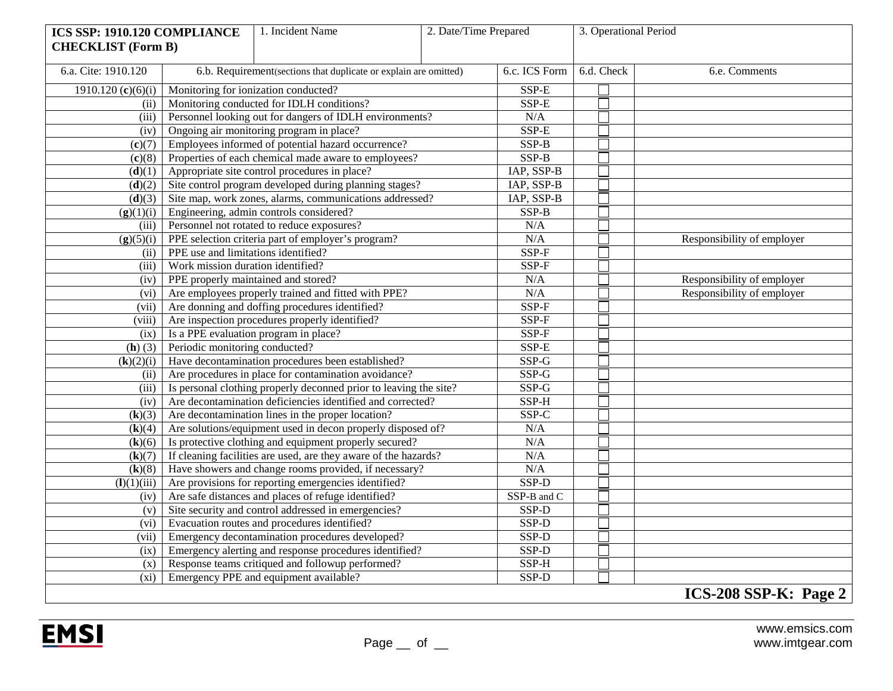| ICS SSP: 1910.120 COMPLIANCE |                                                        | 1. Incident Name                                                         | 2. Date/Time Prepared |                                      |  | 3. Operational Period |                            |
|------------------------------|--------------------------------------------------------|--------------------------------------------------------------------------|-----------------------|--------------------------------------|--|-----------------------|----------------------------|
| <b>CHECKLIST</b> (Form B)    |                                                        |                                                                          |                       |                                      |  |                       |                            |
|                              |                                                        |                                                                          |                       |                                      |  |                       |                            |
| 6.a. Cite: 1910.120          |                                                        | 6.b. Requirement(sections that duplicate or explain are omitted)         |                       | 6.c. ICS Form                        |  | 6.d. Check            | 6.e. Comments              |
| 1910.120(c)(6)(i)            | Monitoring for ionization conducted?                   |                                                                          |                       | SSP-E                                |  |                       |                            |
| (ii)                         |                                                        | Monitoring conducted for IDLH conditions?                                |                       | SSP-E                                |  |                       |                            |
| (iii)                        |                                                        | Personnel looking out for dangers of IDLH environments?                  |                       | N/A<br>SSP-E                         |  |                       |                            |
| (iv)                         |                                                        | Ongoing air monitoring program in place?                                 |                       |                                      |  |                       |                            |
| (c)(7)                       |                                                        | Employees informed of potential hazard occurrence?                       |                       | $SSP-B$                              |  |                       |                            |
| (c)(8)                       |                                                        | Properties of each chemical made aware to employees?                     |                       | SSP-B                                |  |                       |                            |
| (d)(1)                       |                                                        | Appropriate site control procedures in place?                            |                       | IAP, SSP-B                           |  |                       |                            |
| (d)(2)                       |                                                        | Site control program developed during planning stages?                   |                       | IAP, SSP-B                           |  |                       |                            |
|                              |                                                        | $(d)(3)$ Site map, work zones, alarms, communications addressed?         |                       | IAP, SSP-B                           |  |                       |                            |
| (g)(1)(i)                    |                                                        | Engineering, admin controls considered?                                  |                       | SSP-B                                |  |                       |                            |
| (iii)                        |                                                        | Personnel not rotated to reduce exposures?                               |                       | $\rm N/A$                            |  |                       |                            |
| (g)(5)(i)                    |                                                        | PPE selection criteria part of employer's program?                       |                       | N/A                                  |  |                       | Responsibility of employer |
| (ii)                         | PPE use and limitations identified?                    |                                                                          |                       | SSP-F                                |  |                       |                            |
| (iii)                        | Work mission duration identified?                      |                                                                          |                       | SSP-F                                |  |                       |                            |
| (iv)                         | PPE properly maintained and stored?                    |                                                                          |                       | $\rm N/A$                            |  |                       | Responsibility of employer |
| (vi)                         |                                                        | Are employees properly trained and fitted with PPE?                      |                       | N/A                                  |  |                       | Responsibility of employer |
| (vii)                        |                                                        | Are donning and doffing procedures identified?                           |                       | $SSP-F$                              |  |                       |                            |
| (viii)                       |                                                        | Are inspection procedures properly identified?                           |                       | SSP-F                                |  |                       |                            |
| (ix)                         | Is a PPE evaluation program in place?                  |                                                                          |                       | $\ensuremath{\mathsf{SSP\text{-}F}}$ |  |                       |                            |
| $(h)$ (3)                    | Periodic monitoring conducted?                         |                                                                          |                       | SSP-E                                |  |                       |                            |
| (k)(2)(i)                    |                                                        | Have decontamination procedures been established?                        |                       | $SSP-G$                              |  |                       |                            |
| (ii)                         |                                                        | Are procedures in place for contamination avoidance?                     |                       | $SSP-G$                              |  |                       |                            |
| (iii)                        |                                                        | Is personal clothing properly deconned prior to leaving the site?        |                       | $SSP-G$                              |  |                       |                            |
| (iv)                         |                                                        | Are decontamination deficiencies identified and corrected?               |                       | SSP-H                                |  |                       |                            |
| (k)(3)                       |                                                        | Are decontamination lines in the proper location?                        |                       | SSP-C                                |  |                       |                            |
| ( <b>k</b> )(4)              |                                                        | Are solutions/equipment used in decon properly disposed of?              |                       | N/A                                  |  |                       |                            |
| (k)(6)                       |                                                        | Is protective clothing and equipment properly secured?                   |                       | N/A                                  |  |                       |                            |
|                              |                                                        | $(k)(7)$ If cleaning facilities are used, are they aware of the hazards? |                       | N/A                                  |  |                       |                            |
|                              |                                                        | $(k)(8)$ Have showers and change rooms provided, if necessary?           |                       | N/A                                  |  |                       |                            |
| (l)(1)(iii)                  |                                                        | Are provisions for reporting emergencies identified?                     |                       | SSP-D                                |  |                       |                            |
| (iv)                         | Are safe distances and places of refuge identified?    |                                                                          |                       | SSP-B and C                          |  |                       |                            |
| (v)                          | Site security and control addressed in emergencies?    |                                                                          |                       | SSP-D                                |  |                       |                            |
| (vi)                         | Evacuation routes and procedures identified?           |                                                                          |                       | SSP-D                                |  |                       |                            |
| (vii)                        | Emergency decontamination procedures developed?        |                                                                          |                       | SSP-D                                |  |                       |                            |
| (ix)                         | Emergency alerting and response procedures identified? |                                                                          |                       | $SSP-D$                              |  |                       |                            |
| (x)                          | Response teams critiqued and followup performed?       |                                                                          | SSP-H                 |                                      |  |                       |                            |
| $(x_i)$                      |                                                        | Emergency PPE and equipment available?                                   |                       | SSP-D                                |  |                       |                            |
|                              |                                                        |                                                                          |                       |                                      |  |                       | ICS-208 SSP-K: Page $2$    |

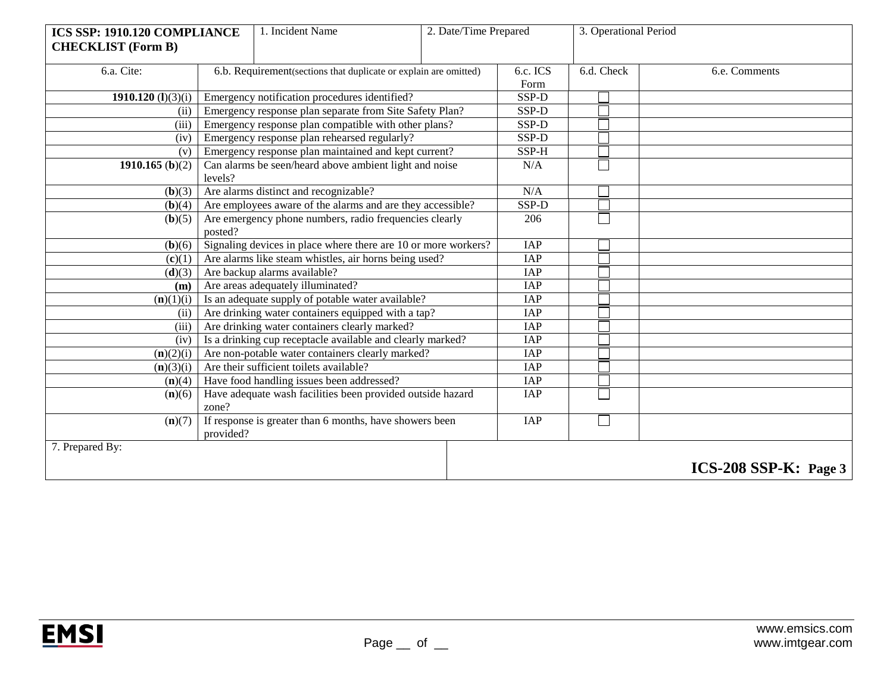| 1. Incident Name<br>ICS SSP: 1910.120 COMPLIANCE |                                                            |                                                                  | 2. Date/Time Prepared |                | 3. Operational Period |                         |
|--------------------------------------------------|------------------------------------------------------------|------------------------------------------------------------------|-----------------------|----------------|-----------------------|-------------------------|
| <b>CHECKLIST</b> (Form B)                        |                                                            |                                                                  |                       |                |                       |                         |
|                                                  |                                                            |                                                                  |                       |                |                       |                         |
| 6.a. Cite:                                       |                                                            | 6.b. Requirement(sections that duplicate or explain are omitted) |                       | 6.c. ICS       | 6.d. Check            | 6.e. Comments           |
|                                                  |                                                            |                                                                  |                       | Form           |                       |                         |
| 1910.120 $(l)(3)(i)$                             |                                                            | Emergency notification procedures identified?                    |                       | SSP-D          |                       |                         |
| (ii)                                             |                                                            | Emergency response plan separate from Site Safety Plan?          |                       | SSP-D<br>SSP-D |                       |                         |
| (iii)                                            |                                                            | Emergency response plan compatible with other plans?             |                       |                |                       |                         |
| (iv)                                             |                                                            | Emergency response plan rehearsed regularly?                     |                       |                |                       |                         |
| (v)                                              |                                                            | Emergency response plan maintained and kept current?             |                       |                |                       |                         |
| 1910.165 (b)(2)                                  | levels?                                                    | Can alarms be seen/heard above ambient light and noise           |                       | N/A            |                       |                         |
| $(b)(3)$                                         |                                                            | Are alarms distinct and recognizable?                            |                       |                |                       |                         |
| $(b)(4)$                                         |                                                            | Are employees aware of the alarms and are they accessible?       |                       | $SSP-D$        |                       |                         |
| $(b)(5)$                                         |                                                            | Are emergency phone numbers, radio frequencies clearly           |                       | 206            |                       |                         |
|                                                  | posted?                                                    |                                                                  |                       |                |                       |                         |
| (b)(6)                                           |                                                            | Signaling devices in place where there are 10 or more workers?   |                       | IAP            |                       |                         |
| (c)(1)                                           |                                                            | Are alarms like steam whistles, air horns being used?            |                       | IAP            |                       |                         |
| (d)(3)                                           |                                                            | Are backup alarms available?                                     |                       | IAP            |                       |                         |
| (m)                                              |                                                            | Are areas adequately illuminated?                                |                       | IAP            |                       |                         |
| (n)(1)(i)                                        |                                                            | Is an adequate supply of potable water available?                |                       | IAP            |                       |                         |
| (ii)                                             |                                                            | Are drinking water containers equipped with a tap?               |                       | IAP            |                       |                         |
| (iii)                                            |                                                            | Are drinking water containers clearly marked?                    |                       | IAP            |                       |                         |
| (iv)                                             |                                                            | Is a drinking cup receptacle available and clearly marked?       |                       | IAP            |                       |                         |
| (n)(2)(i)                                        |                                                            | Are non-potable water containers clearly marked?                 |                       | IAP            |                       |                         |
| (n)(3)(i)                                        |                                                            | Are their sufficient toilets available?                          |                       | IAP            |                       |                         |
| (n)(4)                                           |                                                            | Have food handling issues been addressed?                        |                       |                |                       |                         |
| (n)(6)                                           | Have adequate wash facilities been provided outside hazard |                                                                  |                       | IAP            |                       |                         |
|                                                  | zone?                                                      |                                                                  |                       |                |                       |                         |
| (n)(7)                                           | If response is greater than 6 months, have showers been    |                                                                  |                       | <b>IAP</b>     | $\Box$                |                         |
|                                                  | provided?                                                  |                                                                  |                       |                |                       |                         |
| 7. Prepared By:                                  |                                                            |                                                                  |                       |                |                       |                         |
|                                                  |                                                            |                                                                  |                       |                |                       | ICS-208 SSP-K: Page $3$ |

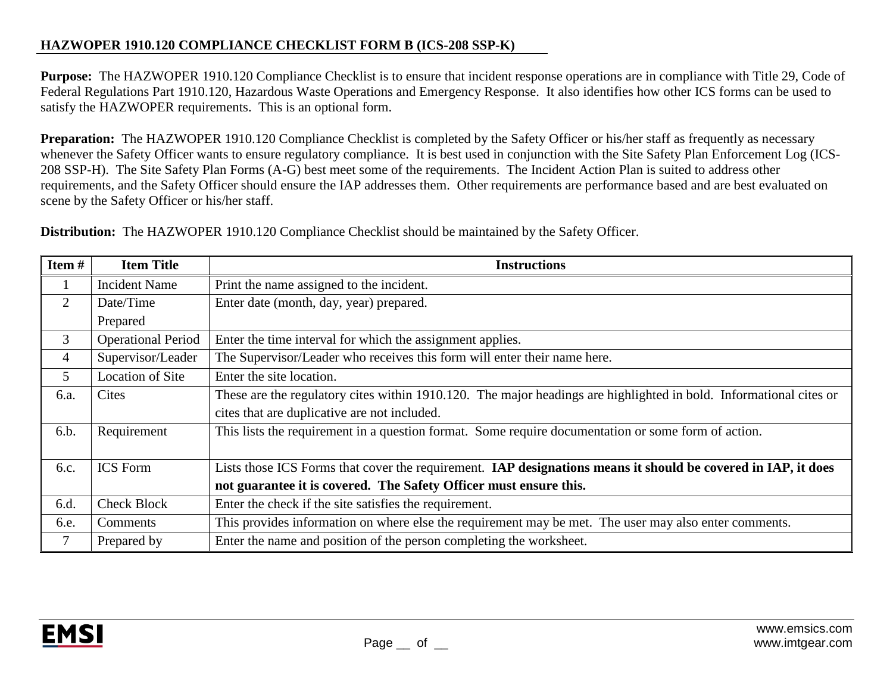## **HAZWOPER 1910.120 COMPLIANCE CHECKLIST FORM B (ICS-208 SSP-K)**

**Purpose:** The HAZWOPER 1910.120 Compliance Checklist is to ensure that incident response operations are in compliance with Title 29, Code of Federal Regulations Part 1910.120, Hazardous Waste Operations and Emergency Response. It also identifies how other ICS forms can be used to satisfy the HAZWOPER requirements. This is an optional form.

**Preparation:** The HAZWOPER 1910.120 Compliance Checklist is completed by the Safety Officer or his/her staff as frequently as necessary whenever the Safety Officer wants to ensure regulatory compliance. It is best used in conjunction with the Site Safety Plan Enforcement Log (ICS-208 SSP-H). The Site Safety Plan Forms (A-G) best meet some of the requirements. The Incident Action Plan is suited to address other requirements, and the Safety Officer should ensure the IAP addresses them. Other requirements are performance based and are best evaluated on scene by the Safety Officer or his/her staff.

**Distribution:** The HAZWOPER 1910.120 Compliance Checklist should be maintained by the Safety Officer.

| Item#          | <b>Item Title</b>         | <b>Instructions</b>                                                                                                |
|----------------|---------------------------|--------------------------------------------------------------------------------------------------------------------|
|                | <b>Incident Name</b>      | Print the name assigned to the incident.                                                                           |
| $\overline{2}$ | Date/Time                 | Enter date (month, day, year) prepared.                                                                            |
|                | Prepared                  |                                                                                                                    |
| 3              | <b>Operational Period</b> | Enter the time interval for which the assignment applies.                                                          |
| 4              | Supervisor/Leader         | The Supervisor/Leader who receives this form will enter their name here.                                           |
| $5^{\circ}$    | <b>Location of Site</b>   | Enter the site location.                                                                                           |
| 6.a.           | Cites                     | These are the regulatory cites within 1910.120. The major headings are highlighted in bold. Informational cites or |
|                |                           | cites that are duplicative are not included.                                                                       |
| 6.b.           | Requirement               | This lists the requirement in a question format. Some require documentation or some form of action.                |
|                |                           |                                                                                                                    |
| 6.c.           | <b>ICS</b> Form           | Lists those ICS Forms that cover the requirement. IAP designations means it should be covered in IAP, it does      |
|                |                           | not guarantee it is covered. The Safety Officer must ensure this.                                                  |
| 6.d.           | <b>Check Block</b>        | Enter the check if the site satisfies the requirement.                                                             |
| 6.e.           | Comments                  | This provides information on where else the requirement may be met. The user may also enter comments.              |
|                | Prepared by               | Enter the name and position of the person completing the worksheet.                                                |

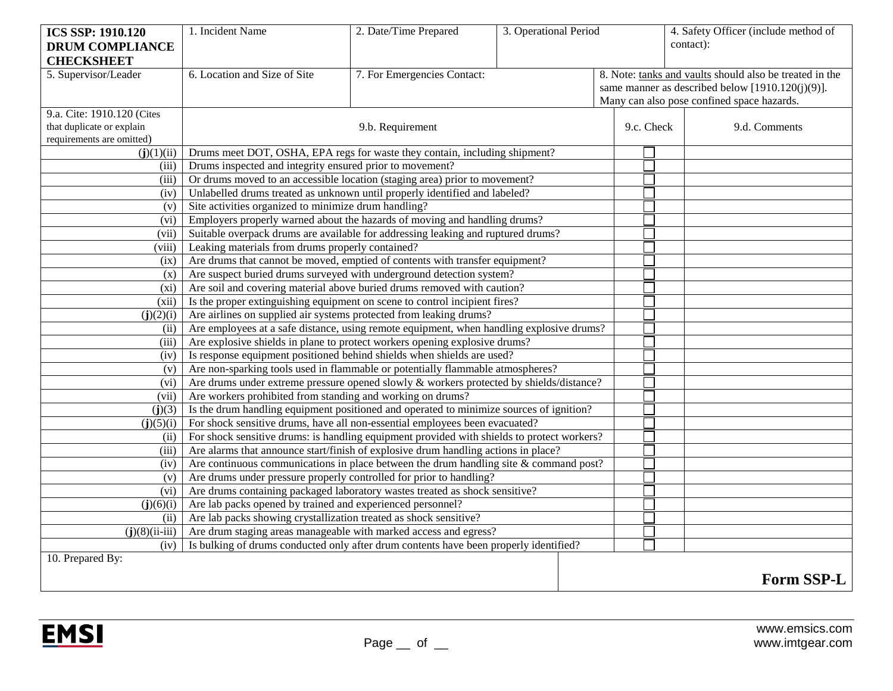| <b>ICS SSP: 1910.120</b>   | 1. Incident Name                                                                                                                   | 4. Safety Officer (include method of                                                                                                                  |  |            |                                                         |  |  |
|----------------------------|------------------------------------------------------------------------------------------------------------------------------------|-------------------------------------------------------------------------------------------------------------------------------------------------------|--|------------|---------------------------------------------------------|--|--|
| <b>DRUM COMPLIANCE</b>     |                                                                                                                                    |                                                                                                                                                       |  |            | contact):                                               |  |  |
| <b>CHECKSHEET</b>          |                                                                                                                                    |                                                                                                                                                       |  |            |                                                         |  |  |
| 5. Supervisor/Leader       | 6. Location and Size of Site                                                                                                       | 7. For Emergencies Contact:                                                                                                                           |  |            | 8. Note: tanks and vaults should also be treated in the |  |  |
|                            |                                                                                                                                    |                                                                                                                                                       |  |            | same manner as described below [1910.120(j)(9)].        |  |  |
|                            |                                                                                                                                    |                                                                                                                                                       |  |            | Many can also pose confined space hazards.              |  |  |
| 9.a. Cite: 1910.120 (Cites |                                                                                                                                    |                                                                                                                                                       |  |            |                                                         |  |  |
| that duplicate or explain  |                                                                                                                                    | 9.b. Requirement                                                                                                                                      |  | 9.c. Check | 9.d. Comments                                           |  |  |
| requirements are omitted)  |                                                                                                                                    |                                                                                                                                                       |  |            |                                                         |  |  |
| (j)(1)(ii)                 | Drums meet DOT, OSHA, EPA regs for waste they contain, including shipment?                                                         |                                                                                                                                                       |  |            |                                                         |  |  |
| (iii)                      | Drums inspected and integrity ensured prior to movement?                                                                           |                                                                                                                                                       |  |            |                                                         |  |  |
| (iii)                      | Or drums moved to an accessible location (staging area) prior to movement?                                                         |                                                                                                                                                       |  |            |                                                         |  |  |
| (iv)                       | Unlabelled drums treated as unknown until properly identified and labeled?<br>Site activities organized to minimize drum handling? |                                                                                                                                                       |  |            |                                                         |  |  |
| (v)<br>(vi)                | Employers properly warned about the hazards of moving and handling drums?                                                          |                                                                                                                                                       |  |            |                                                         |  |  |
| (vii)                      | Suitable overpack drums are available for addressing leaking and ruptured drums?                                                   |                                                                                                                                                       |  |            |                                                         |  |  |
| (viii)                     | Leaking materials from drums properly contained?                                                                                   |                                                                                                                                                       |  |            |                                                         |  |  |
| (ix)                       | Are drums that cannot be moved, emptied of contents with transfer equipment?                                                       |                                                                                                                                                       |  |            |                                                         |  |  |
| (x)                        | Are suspect buried drums surveyed with underground detection system?                                                               |                                                                                                                                                       |  |            |                                                         |  |  |
| (xi)                       |                                                                                                                                    |                                                                                                                                                       |  |            |                                                         |  |  |
| (xii)                      |                                                                                                                                    | Are soil and covering material above buried drums removed with caution?<br>Is the proper extinguishing equipment on scene to control incipient fires? |  |            |                                                         |  |  |
| (j)(2)(i)                  | Are airlines on supplied air systems protected from leaking drums?                                                                 |                                                                                                                                                       |  |            |                                                         |  |  |
| (ii)                       | Are employees at a safe distance, using remote equipment, when handling explosive drums?                                           |                                                                                                                                                       |  |            |                                                         |  |  |
| (iii)                      | Are explosive shields in plane to protect workers opening explosive drums?                                                         |                                                                                                                                                       |  |            |                                                         |  |  |
| (iv)                       | Is response equipment positioned behind shields when shields are used?                                                             |                                                                                                                                                       |  |            |                                                         |  |  |
| (v)                        | Are non-sparking tools used in flammable or potentially flammable atmospheres?                                                     |                                                                                                                                                       |  |            |                                                         |  |  |
| (vi)                       | Are drums under extreme pressure opened slowly $&$ workers protected by shields/distance?                                          |                                                                                                                                                       |  |            |                                                         |  |  |
| (vii)                      | Are workers prohibited from standing and working on drums?                                                                         |                                                                                                                                                       |  |            |                                                         |  |  |
| (j)(3)                     | Is the drum handling equipment positioned and operated to minimize sources of ignition?                                            |                                                                                                                                                       |  |            |                                                         |  |  |
| (j)(5)(i)                  | For shock sensitive drums, have all non-essential employees been evacuated?                                                        |                                                                                                                                                       |  |            |                                                         |  |  |
| (ii)                       | For shock sensitive drums: is handling equipment provided with shields to protect workers?                                         |                                                                                                                                                       |  |            |                                                         |  |  |
| (iii)                      | Are alarms that announce start/finish of explosive drum handling actions in place?                                                 |                                                                                                                                                       |  |            |                                                         |  |  |
| (iv)                       | Are continuous communications in place between the drum handling site $\&$ command post?                                           |                                                                                                                                                       |  |            |                                                         |  |  |
| (v)                        | Are drums under pressure properly controlled for prior to handling?                                                                |                                                                                                                                                       |  |            |                                                         |  |  |
| (vi)                       | Are drums containing packaged laboratory wastes treated as shock sensitive?                                                        |                                                                                                                                                       |  |            |                                                         |  |  |
| (j)(6)(i)                  | Are lab packs opened by trained and experienced personnel?                                                                         |                                                                                                                                                       |  |            |                                                         |  |  |
| (ii)                       | Are lab packs showing crystallization treated as shock sensitive?                                                                  |                                                                                                                                                       |  |            |                                                         |  |  |
| $(j)(8)(ii - iii)$         | Are drum staging areas manageable with marked access and egress?                                                                   |                                                                                                                                                       |  |            |                                                         |  |  |
| (iv)                       | Is bulking of drums conducted only after drum contents have been properly identified?                                              |                                                                                                                                                       |  |            |                                                         |  |  |
| 10. Prepared By:           |                                                                                                                                    |                                                                                                                                                       |  |            |                                                         |  |  |
|                            |                                                                                                                                    |                                                                                                                                                       |  |            | Form SSP-L                                              |  |  |